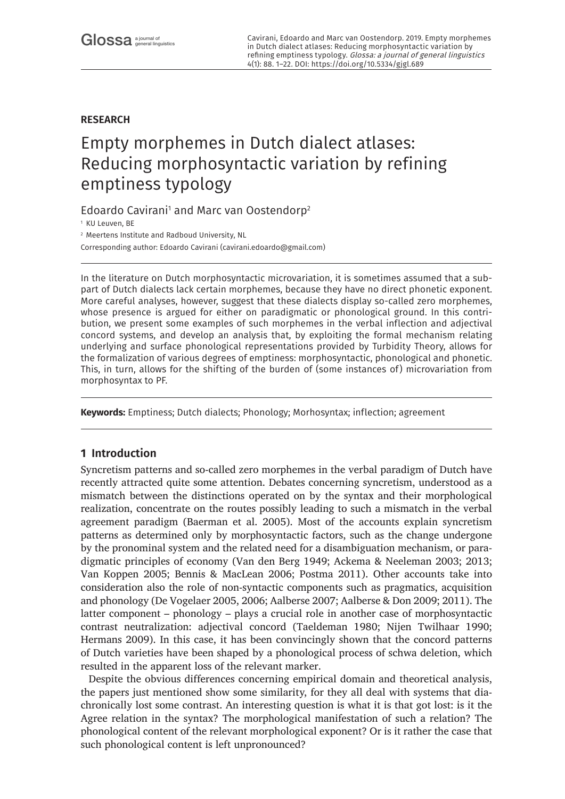# **RESEARCH**

# Empty morphemes in Dutch dialect atlases: Reducing morphosyntactic variation by refining emptiness typology

Edoardo Cavirani<sup>1</sup> and Marc van Oostendorp<sup>2</sup>

<sup>1</sup> KU Leuven, BE

<sup>2</sup> Meertens Institute and Radboud University, NL

Corresponding author: Edoardo Cavirani ([cavirani.edoardo@gmail.com](mailto:cavirani.edoardo@gmail.com))

In the literature on Dutch morphosyntactic microvariation, it is sometimes assumed that a subpart of Dutch dialects lack certain morphemes, because they have no direct phonetic exponent. More careful analyses, however, suggest that these dialects display so-called zero morphemes, whose presence is argued for either on paradigmatic or phonological ground. In this contribution, we present some examples of such morphemes in the verbal inflection and adjectival concord systems, and develop an analysis that, by exploiting the formal mechanism relating underlying and surface phonological representations provided by Turbidity Theory, allows for the formalization of various degrees of emptiness: morphosyntactic, phonological and phonetic. This, in turn, allows for the shifting of the burden of (some instances of) microvariation from morphosyntax to PF.

**Keywords:** Emptiness; Dutch dialects; Phonology; Morhosyntax; inflection; agreement

# **1 Introduction**

Syncretism patterns and so-called zero morphemes in the verbal paradigm of Dutch have recently attracted quite some attention. Debates concerning syncretism, understood as a mismatch between the distinctions operated on by the syntax and their morphological realization, concentrate on the routes possibly leading to such a mismatch in the verbal agreement paradigm (Baerman et al. 2005). Most of the accounts explain syncretism patterns as determined only by morphosyntactic factors, such as the change undergone by the pronominal system and the related need for a disambiguation mechanism, or paradigmatic principles of economy (Van den Berg 1949; Ackema & Neeleman 2003; 2013; Van Koppen 2005; Bennis & MacLean 2006; Postma 2011). Other accounts take into consideration also the role of non-syntactic components such as pragmatics, acquisition and phonology (De Vogelaer 2005, 2006; Aalberse 2007; Aalberse & Don 2009; 2011). The latter component – phonology – plays a crucial role in another case of morphosyntactic contrast neutralization: adjectival concord (Taeldeman 1980; Nijen Twilhaar 1990; Hermans 2009). In this case, it has been convincingly shown that the concord patterns of Dutch varieties have been shaped by a phonological process of schwa deletion, which resulted in the apparent loss of the relevant marker.

Despite the obvious differences concerning empirical domain and theoretical analysis, the papers just mentioned show some similarity, for they all deal with systems that diachronically lost some contrast. An interesting question is what it is that got lost: is it the Agree relation in the syntax? The morphological manifestation of such a relation? The phonological content of the relevant morphological exponent? Or is it rather the case that such phonological content is left unpronounced?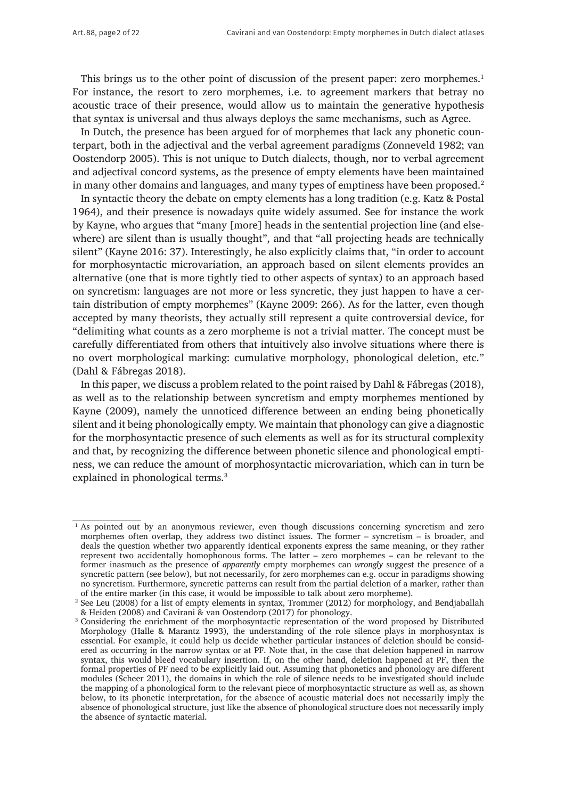This brings us to the other point of discussion of the present paper: zero morphemes.<sup>1</sup> For instance, the resort to zero morphemes, i.e. to agreement markers that betray no acoustic trace of their presence, would allow us to maintain the generative hypothesis that syntax is universal and thus always deploys the same mechanisms, such as Agree.

In Dutch, the presence has been argued for of morphemes that lack any phonetic counterpart, both in the adjectival and the verbal agreement paradigms (Zonneveld 1982; van Oostendorp 2005). This is not unique to Dutch dialects, though, nor to verbal agreement and adjectival concord systems, as the presence of empty elements have been maintained in many other domains and languages, and many types of emptiness have been proposed.2

In syntactic theory the debate on empty elements has a long tradition (e.g. Katz & Postal 1964), and their presence is nowadays quite widely assumed. See for instance the work by Kayne, who argues that "many [more] heads in the sentential projection line (and elsewhere) are silent than is usually thought", and that "all projecting heads are technically silent" (Kayne 2016: 37). Interestingly, he also explicitly claims that, "in order to account for morphosyntactic microvariation, an approach based on silent elements provides an alternative (one that is more tightly tied to other aspects of syntax) to an approach based on syncretism: languages are not more or less syncretic, they just happen to have a certain distribution of empty morphemes" (Kayne 2009: 266). As for the latter, even though accepted by many theorists, they actually still represent a quite controversial device, for "delimiting what counts as a zero morpheme is not a trivial matter. The concept must be carefully differentiated from others that intuitively also involve situations where there is no overt morphological marking: cumulative morphology, phonological deletion, etc." (Dahl & Fábregas 2018).

In this paper, we discuss a problem related to the point raised by Dahl & Fábregas (2018), as well as to the relationship between syncretism and empty morphemes mentioned by Kayne (2009), namely the unnoticed difference between an ending being phonetically silent and it being phonologically empty. We maintain that phonology can give a diagnostic for the morphosyntactic presence of such elements as well as for its structural complexity and that, by recognizing the difference between phonetic silence and phonological emptiness, we can reduce the amount of morphosyntactic microvariation, which can in turn be explained in phonological terms.<sup>3</sup>

<sup>1</sup> As pointed out by an anonymous reviewer, even though discussions concerning syncretism and zero morphemes often overlap, they address two distinct issues. The former – syncretism – is broader, and deals the question whether two apparently identical exponents express the same meaning, or they rather represent two accidentally homophonous forms. The latter – zero morphemes – can be relevant to the former inasmuch as the presence of *apparently* empty morphemes can *wrongly* suggest the presence of a syncretic pattern (see below), but not necessarily, for zero morphemes can e.g. occur in paradigms showing no syncretism. Furthermore, syncretic patterns can result from the partial deletion of a marker, rather than of the entire marker (in this case, it would be impossible to talk about zero morpheme).

<sup>2</sup> See Leu (2008) for a list of empty elements in syntax, Trommer (2012) for morphology, and Bendjaballah & Heiden (2008) and Cavirani & van Oostendorp (2017) for phonology.

<sup>3</sup> Considering the enrichment of the morphosyntactic representation of the word proposed by Distributed Morphology (Halle & Marantz 1993), the understanding of the role silence plays in morphosyntax is essential. For example, it could help us decide whether particular instances of deletion should be considered as occurring in the narrow syntax or at PF. Note that, in the case that deletion happened in narrow syntax, this would bleed vocabulary insertion. If, on the other hand, deletion happened at PF, then the formal properties of PF need to be explicitly laid out. Assuming that phonetics and phonology are different modules (Scheer 2011), the domains in which the role of silence needs to be investigated should include the mapping of a phonological form to the relevant piece of morphosyntactic structure as well as, as shown below, to its phonetic interpretation, for the absence of acoustic material does not necessarily imply the absence of phonological structure, just like the absence of phonological structure does not necessarily imply the absence of syntactic material.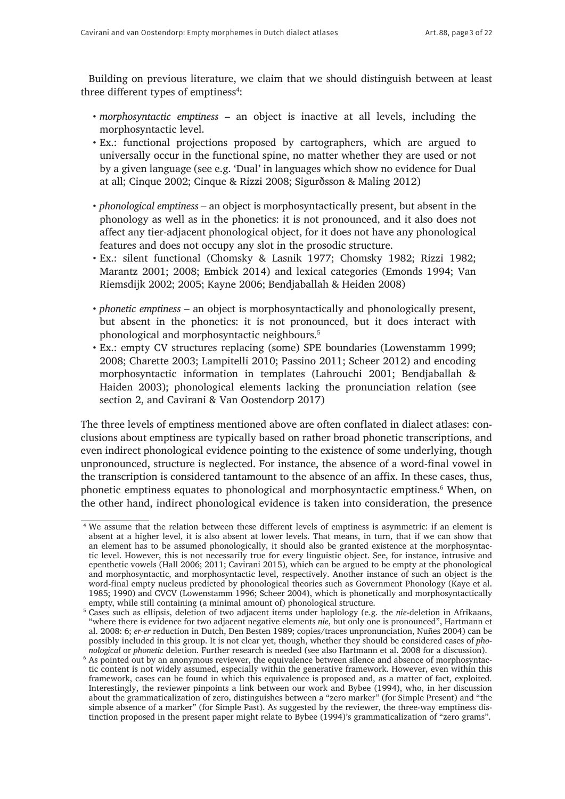Building on previous literature, we claim that we should distinguish between at least three different types of emptiness<sup>4</sup>:

- *morphosyntactic emptiness* an object is inactive at all levels, including the morphosyntactic level.
- Ex.: functional projections proposed by cartographers, which are argued to universally occur in the functional spine, no matter whether they are used or not by a given language (see e.g. 'Dual' in languages which show no evidence for Dual at all; Cinque 2002; Cinque & Rizzi 2008; Sigurðsson & Maling 2012)
- *phonological emptiness* an object is morphosyntactically present, but absent in the phonology as well as in the phonetics: it is not pronounced, and it also does not affect any tier-adjacent phonological object, for it does not have any phonological features and does not occupy any slot in the prosodic structure.
- • Ex.: silent functional (Chomsky & Lasnik 1977; Chomsky 1982; Rizzi 1982; Marantz 2001; 2008; Embick 2014) and lexical categories (Emonds 1994; Van Riemsdijk 2002; 2005; Kayne 2006; Bendjaballah & Heiden 2008)
- • *phonetic emptiness* an object is morphosyntactically and phonologically present, but absent in the phonetics: it is not pronounced, but it does interact with phonological and morphosyntactic neighbours.5
- • Ex.: empty CV structures replacing (some) SPE boundaries (Lowenstamm 1999; 2008; Charette 2003; Lampitelli 2010; Passino 2011; Scheer 2012) and encoding morphosyntactic information in templates (Lahrouchi 2001; Bendjaballah & Haiden 2003); phonological elements lacking the pronunciation relation (see section 2, and Cavirani & Van Oostendorp 2017)

The three levels of emptiness mentioned above are often conflated in dialect atlases: conclusions about emptiness are typically based on rather broad phonetic transcriptions, and even indirect phonological evidence pointing to the existence of some underlying, though unpronounced, structure is neglected. For instance, the absence of a word-final vowel in the transcription is considered tantamount to the absence of an affix. In these cases, thus, phonetic emptiness equates to phonological and morphosyntactic emptiness.<sup>6</sup> When, on the other hand, indirect phonological evidence is taken into consideration, the presence

<sup>4</sup> We assume that the relation between these different levels of emptiness is asymmetric: if an element is absent at a higher level, it is also absent at lower levels. That means, in turn, that if we can show that an element has to be assumed phonologically, it should also be granted existence at the morphosyntactic level. However, this is not necessarily true for every linguistic object. See, for instance, intrusive and epenthetic vowels (Hall 2006; 2011; Cavirani 2015), which can be argued to be empty at the phonological and morphosyntactic, and morphosyntactic level, respectively. Another instance of such an object is the word-final empty nucleus predicted by phonological theories such as Government Phonology (Kaye et al. 1985; 1990) and CVCV (Lowenstamm 1996; Scheer 2004), which is phonetically and morphosyntactically empty, while still containing (a minimal amount of) phonological structure.

<sup>5</sup> Cases such as ellipsis, deletion of two adjacent items under haplology (e.g. the *nie*-deletion in Afrikaans, "where there is evidence for two adjacent negative elements *nie*, but only one is pronounced", Hartmann et al. 2008: 6; *er*-*er* reduction in Dutch, Den Besten 1989; copies/traces unpronunciation, Nuñes 2004) can be possibly included in this group. It is not clear yet, though, whether they should be considered cases of *phonological* or *phonetic* deletion. Further research is needed (see also Hartmann et al. 2008 for a discussion).

<sup>&</sup>lt;sup>6</sup> As pointed out by an anonymous reviewer, the equivalence between silence and absence of morphosyntactic content is not widely assumed, especially within the generative framework. However, even within this framework, cases can be found in which this equivalence is proposed and, as a matter of fact, exploited. Interestingly, the reviewer pinpoints a link between our work and Bybee (1994), who, in her discussion about the grammaticalization of zero, distinguishes between a "zero marker" (for Simple Present) and "the simple absence of a marker" (for Simple Past). As suggested by the reviewer, the three-way emptiness distinction proposed in the present paper might relate to Bybee (1994)'s grammaticalization of "zero grams".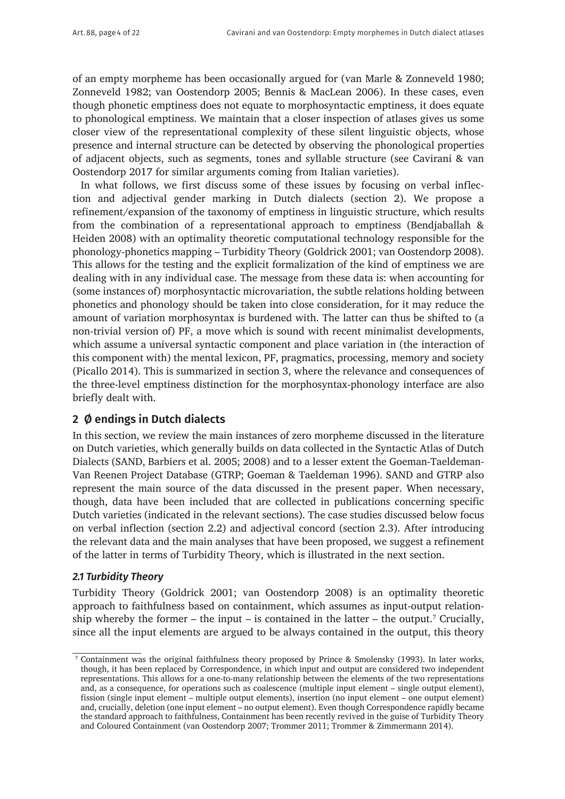of an empty morpheme has been occasionally argued for (van Marle & Zonneveld 1980; Zonneveld 1982; van Oostendorp 2005; Bennis & MacLean 2006). In these cases, even though phonetic emptiness does not equate to morphosyntactic emptiness, it does equate to phonological emptiness. We maintain that a closer inspection of atlases gives us some closer view of the representational complexity of these silent linguistic objects, whose presence and internal structure can be detected by observing the phonological properties of adjacent objects, such as segments, tones and syllable structure (see Cavirani & van Oostendorp 2017 for similar arguments coming from Italian varieties).

In what follows, we first discuss some of these issues by focusing on verbal inflection and adjectival gender marking in Dutch dialects (section 2). We propose a refinement/expansion of the taxonomy of emptiness in linguistic structure, which results from the combination of a representational approach to emptiness (Bendjaballah & Heiden 2008) with an optimality theoretic computational technology responsible for the phonology-phonetics mapping – Turbidity Theory (Goldrick 2001; van Oostendorp 2008). This allows for the testing and the explicit formalization of the kind of emptiness we are dealing with in any individual case. The message from these data is: when accounting for (some instances of) morphosyntactic microvariation, the subtle relations holding between phonetics and phonology should be taken into close consideration, for it may reduce the amount of variation morphosyntax is burdened with. The latter can thus be shifted to (a non-trivial version of) PF, a move which is sound with recent minimalist developments, which assume a universal syntactic component and place variation in (the interaction of this component with) the mental lexicon, PF, pragmatics, processing, memory and society (Picallo 2014). This is summarized in section 3, where the relevance and consequences of the three-level emptiness distinction for the morphosyntax-phonology interface are also briefly dealt with.

# **2 Ø endings in Dutch dialects**

In this section, we review the main instances of zero morpheme discussed in the literature on Dutch varieties, which generally builds on data collected in the Syntactic Atlas of Dutch Dialects (SAND, Barbiers et al. 2005; 2008) and to a lesser extent the Goeman-Taeldeman-Van Reenen Project Database (GTRP; Goeman & Taeldeman 1996). SAND and GTRP also represent the main source of the data discussed in the present paper. When necessary, though, data have been included that are collected in publications concerning specific Dutch varieties (indicated in the relevant sections). The case studies discussed below focus on verbal inflection (section 2.2) and adjectival concord (section 2.3). After introducing the relevant data and the main analyses that have been proposed, we suggest a refinement of the latter in terms of Turbidity Theory, which is illustrated in the next section.

# *2.1 Turbidity Theory*

Turbidity Theory (Goldrick 2001; van Oostendorp 2008) is an optimality theoretic approach to faithfulness based on containment, which assumes as input-output relationship whereby the former  $-$  the input  $-$  is contained in the latter  $-$  the output.<sup>7</sup> Crucially, since all the input elements are argued to be always contained in the output, this theory

<sup>7</sup> Containment was the original faithfulness theory proposed by Prince & Smolensky (1993). In later works, though, it has been replaced by Correspondence, in which input and output are considered two independent representations. This allows for a one-to-many relationship between the elements of the two representations and, as a consequence, for operations such as coalescence (multiple input element – single output element), fission (single input element – multiple output elements), insertion (no input element – one output element) and, crucially, deletion (one input element – no output element). Even though Correspondence rapidly became the standard approach to faithfulness, Containment has been recently revived in the guise of Turbidity Theory and Coloured Containment (van Oostendorp 2007; Trommer 2011; Trommer & Zimmermann 2014).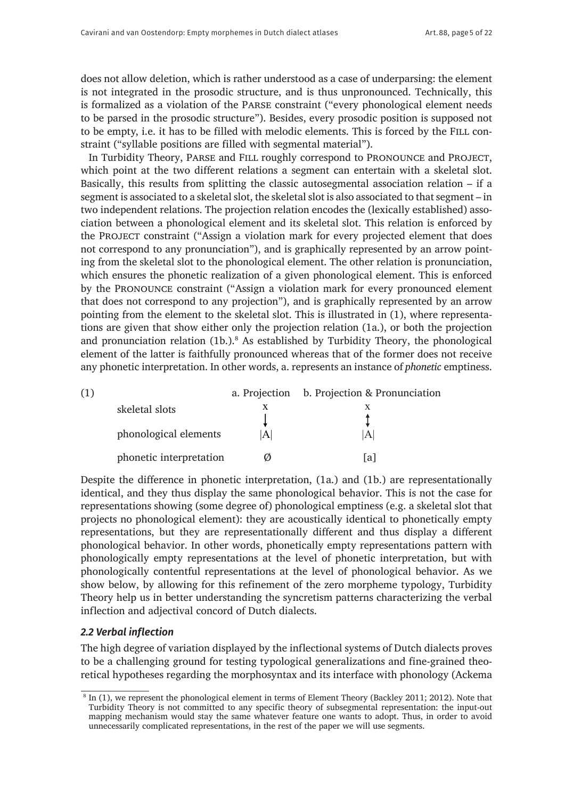does not allow deletion, which is rather understood as a case of underparsing: the element is not integrated in the prosodic structure, and is thus unpronounced. Technically, this is formalized as a violation of the Parse constraint ("every phonological element needs to be parsed in the prosodic structure"). Besides, every prosodic position is supposed not to be empty, i.e. it has to be filled with melodic elements. This is forced by the Fill constraint ("syllable positions are filled with segmental material").

In Turbidity Theory, PARSE and FILL roughly correspond to PRONOUNCE and PROJECT, which point at the two different relations a segment can entertain with a skeletal slot. Basically, this results from splitting the classic autosegmental association relation – if a segment is associated to a skeletal slot, the skeletal slot is also associated to that segment – in two independent relations. The projection relation encodes the (lexically established) association between a phonological element and its skeletal slot. This relation is enforced by the Project constraint ("Assign a violation mark for every projected element that does not correspond to any pronunciation"), and is graphically represented by an arrow pointing from the skeletal slot to the phonological element. The other relation is pronunciation, which ensures the phonetic realization of a given phonological element. This is enforced by the Pronounce constraint ("Assign a violation mark for every pronounced element that does not correspond to any projection"), and is graphically represented by an arrow pointing from the element to the skeletal slot. This is illustrated in (1), where representations are given that show either only the projection relation (1a.), or both the projection and pronunciation relation (1b.).<sup>8</sup> As established by Turbidity Theory, the phonological element of the latter is faithfully pronounced whereas that of the former does not receive any phonetic interpretation. In other words, a. represents an instance of *phonetic* emptiness.

| (1) |                         |   | a. Projection b. Projection & Pronunciation |
|-----|-------------------------|---|---------------------------------------------|
|     | skeletal slots          |   |                                             |
|     |                         |   |                                             |
|     | phonological elements   | A | A                                           |
|     | phonetic interpretation |   | lal                                         |
|     |                         |   |                                             |

Despite the difference in phonetic interpretation, (1a.) and (1b.) are representationally identical, and they thus display the same phonological behavior. This is not the case for representations showing (some degree of) phonological emptiness (e.g. a skeletal slot that projects no phonological element): they are acoustically identical to phonetically empty representations, but they are representationally different and thus display a different phonological behavior. In other words, phonetically empty representations pattern with phonologically empty representations at the level of phonetic interpretation, but with phonologically contentful representations at the level of phonological behavior. As we show below, by allowing for this refinement of the zero morpheme typology, Turbidity Theory help us in better understanding the syncretism patterns characterizing the verbal inflection and adjectival concord of Dutch dialects.

#### *2.2 Verbal inflection*

The high degree of variation displayed by the inflectional systems of Dutch dialects proves to be a challenging ground for testing typological generalizations and fine-grained theoretical hypotheses regarding the morphosyntax and its interface with phonology (Ackema

<sup>8</sup> In (1), we represent the phonological element in terms of Element Theory (Backley 2011; 2012). Note that Turbidity Theory is not committed to any specific theory of subsegmental representation: the input-out mapping mechanism would stay the same whatever feature one wants to adopt. Thus, in order to avoid unnecessarily complicated representations, in the rest of the paper we will use segments.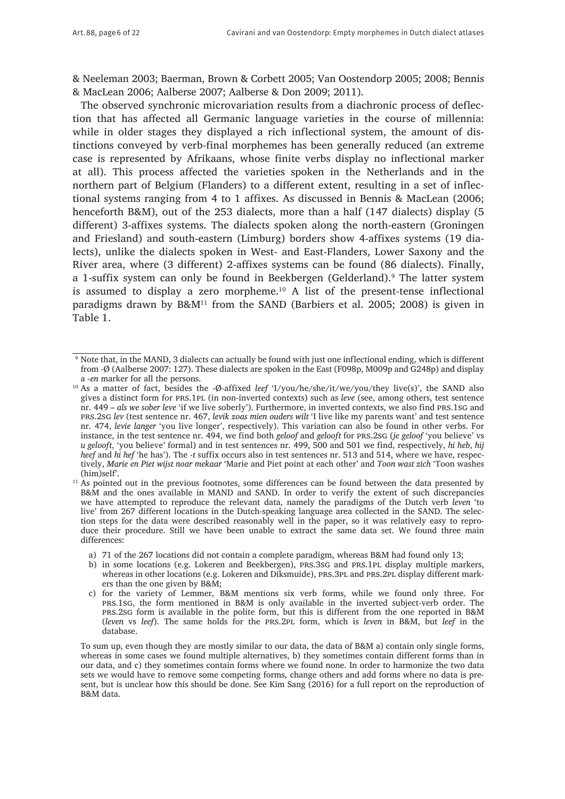& Neeleman 2003; Baerman, Brown & Corbett 2005; Van Oostendorp 2005; 2008; Bennis & MacLean 2006; Aalberse 2007; Aalberse & Don 2009; 2011).

The observed synchronic microvariation results from a diachronic process of deflection that has affected all Germanic language varieties in the course of millennia: while in older stages they displayed a rich inflectional system, the amount of distinctions conveyed by verb-final morphemes has been generally reduced (an extreme case is represented by Afrikaans, whose finite verbs display no inflectional marker at all). This process affected the varieties spoken in the Netherlands and in the northern part of Belgium (Flanders) to a different extent, resulting in a set of inflectional systems ranging from 4 to 1 affixes. As discussed in Bennis & MacLean (2006; henceforth B&M), out of the 253 dialects, more than a half (147 dialects) display (5 different) 3-affixes systems. The dialects spoken along the north-eastern (Groningen and Friesland) and south-eastern (Limburg) borders show 4-affixes systems (19 dialects), unlike the dialects spoken in West- and East-Flanders, Lower Saxony and the River area, where (3 different) 2-affixes systems can be found (86 dialects). Finally, a 1-suffix system can only be found in Beekbergen (Gelderland).9 The latter system is assumed to display a zero morpheme.<sup>10</sup> A list of the present-tense inflectional paradigms drawn by  $B\&M^{11}$  from the SAND (Barbiers et al. 2005; 2008) is given in Table 1.

- a) 71 of the 267 locations did not contain a complete paradigm, whereas B&M had found only 13;
- b) in some locations (e.g. Lokeren and Beekbergen), PRS.3SG and PRS.1PL display multiple markers, whereas in other locations (e.g. Lokeren and Diksmuide), PRS.3PL and PRS.2PL display different markers than the one given by B&M;

<sup>9</sup> Note that, in the MAND, 3 dialects can actually be found with just one inflectional ending, which is different from -Ø (Aalberse 2007: 127). These dialects are spoken in the East (F098p, M009p and G248p) and display a *-en* marker for all the persons.

<sup>10</sup> As a matter of fact, besides the -Ø-affixed *leef* 'I/you/he/she/it/we/you/they live(s)', the SAND also gives a distinct form for prs.1pl (in non-inverted contexts) such as *leve* (see, among others, test sentence nr. 449 – *als we sober leve* 'if we live soberly'). Furthermore, in inverted contexts, we also find prs.1sg and prs.2sg *lev* (test sentence nr. 467, *levik zoas mien ouders wilt* 'I live like my parents want' and test sentence nr. 474, *levie langer* 'you live longer', respectively). This variation can also be found in other verbs. For instance, in the test sentence nr. 494, we find both *geloof* and *gelooft* for prs.2sg (*je geloof* 'you believe' vs *u gelooft*, 'you believe' formal) and in test sentences nr. 499, 500 and 501 we find, respectively, *hi heb*, *hij heef* and *hi hef* 'he has'). The -*t* suffix occurs also in test sentences nr. 513 and 514, where we have, respectively, *Marie en Piet wijst noar mekaar* 'Marie and Piet point at each other' and *Toon wast zich* 'Toon washes (him)self'.

<sup>&</sup>lt;sup>11</sup> As pointed out in the previous footnotes, some differences can be found between the data presented by B&M and the ones available in MAND and SAND. In order to verify the extent of such discrepancies we have attempted to reproduce the relevant data, namely the paradigms of the Dutch verb *leven* 'to live' from 267 different locations in the Dutch-speaking language area collected in the SAND. The selection steps for the data were described reasonably well in the paper, so it was relatively easy to reproduce their procedure. Still we have been unable to extract the same data set. We found three main differences:

c) for the variety of Lemmer, B&M mentions six verb forms, while we found only three. For prs.1sg, the form mentioned in B&M is only available in the inverted subject-verb order. The prs.2sg form is available in the polite form, but this is different from the one reported in B&M (*leven* vs *leef*). The same holds for the prs.2pl form, which is *leven* in B&M, but *leef* in the database.

To sum up, even though they are mostly similar to our data, the data of B&M a) contain only single forms, whereas in some cases we found multiple alternatives, b) they sometimes contain different forms than in our data, and c) they sometimes contain forms where we found none. In order to harmonize the two data sets we would have to remove some competing forms, change others and add forms where no data is present, but is unclear how this should be done. See Kim Sang (2016) for a full report on the reproduction of B&M data.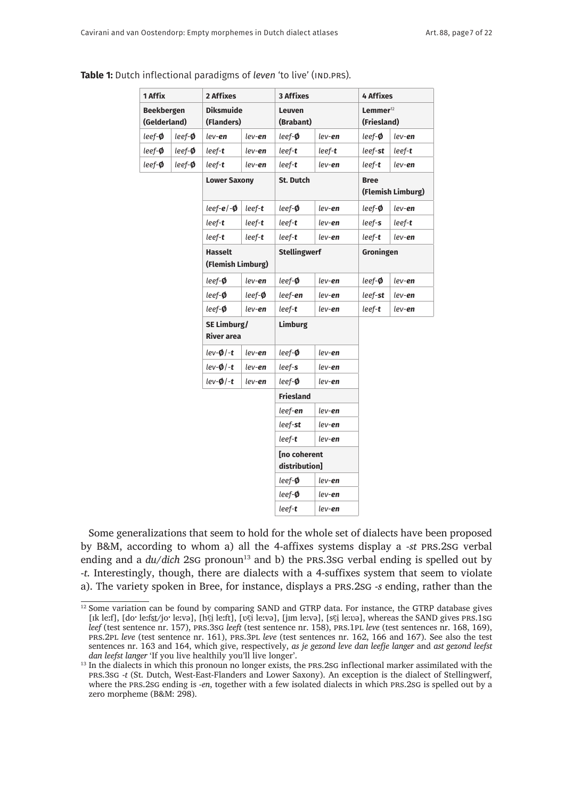| 1 Affix                           |              | 2 Affixes                           |                | <b>3 Affixes</b>                     |                | <b>4 Affixes</b>                       |                   |
|-----------------------------------|--------------|-------------------------------------|----------------|--------------------------------------|----------------|----------------------------------------|-------------------|
| <b>Beekbergen</b><br>(Gelderland) |              | <b>Diksmuide</b><br>(Flanders)      |                | Leuven<br>(Brabant)                  |                | $L$ emmer <sup>12</sup><br>(Friesland) |                   |
| leef-Ø                            | leef- $\phi$ | lev- <b>en</b>                      | lev- <b>en</b> | leef-Ø                               | lev- <b>en</b> | $leef-\phi$                            | lev- <b>en</b>    |
| leef- $\phi$                      | leef- $\phi$ | leef- <b>t</b>                      | lev- <b>en</b> | leef- <b>t</b>                       | leef- <b>t</b> | $leef$ -st                             | leef- <b>t</b>    |
| leef-Ø                            | $leef-\phi$  | leef- <b>t</b>                      | lev- <b>en</b> | leef- <b>t</b>                       | lev- <b>en</b> | leef- <b>t</b>                         | lev- <b>en</b>    |
|                                   |              | <b>Lower Saxony</b>                 |                | <b>St. Dutch</b>                     |                | <b>Bree</b>                            | (Flemish Limburg) |
|                                   |              | $leef-e/-\phi$                      | $leef-t$       | leef- $\phi$                         | lev- <b>en</b> | $leef-\phi$                            | lev- <b>en</b>    |
|                                   |              | $leef-t$                            | $leef-t$       | leef-t                               | lev- <b>en</b> | $leef-s$                               | leef- <b>t</b>    |
|                                   |              | $leef-t$                            | $leef-t$       | $leef-t$                             | lev- <b>en</b> | $leef-t$                               | $lev$ -en         |
|                                   |              | <b>Hasselt</b><br>(Flemish Limburg) |                | <b>Stellingwerf</b>                  |                | Groningen                              |                   |
|                                   |              | $leef-\phi$                         | lev- <b>en</b> | leef-Ø                               | lev- <b>en</b> | leef- $\phi$                           | lev- <b>en</b>    |
|                                   |              | $leef-\phi$                         | $leef-\phi$    | leef- <b>en</b>                      | lev- <b>en</b> | leef- <b>st</b>                        | lev- <b>en</b>    |
|                                   |              | $leef-\phi$                         | lev- <b>en</b> | leef- <b>t</b>                       | lev- <b>en</b> | leef- <b>t</b>                         | lev- <b>en</b>    |
|                                   |              | SE Limburg/<br><b>River area</b>    |                | Limburg                              |                |                                        |                   |
|                                   |              | $lev-Ø/-t$                          | lev- <b>en</b> | leef- <b>Ø</b>                       | lev- <b>en</b> |                                        |                   |
|                                   |              | $lev-0$ /-t                         | lev- <b>en</b> | leef-s                               | lev- <b>en</b> |                                        |                   |
|                                   |              | $lev-Ø/-t$                          | lev- <b>en</b> | leef-Ø                               | lev- <b>en</b> |                                        |                   |
|                                   |              |                                     |                | <b>Friesland</b>                     |                |                                        |                   |
|                                   |              |                                     |                | leef-en                              | lev- <b>en</b> |                                        |                   |
|                                   |              |                                     |                | leef-st                              | lev- <b>en</b> |                                        |                   |
|                                   |              |                                     |                | $leef-t$                             | lev- <b>en</b> |                                        |                   |
|                                   |              |                                     |                | <b>Ino coherent</b><br>distribution] |                |                                        |                   |
|                                   |              |                                     |                | leef- $\phi$                         | lev- <b>en</b> |                                        |                   |
|                                   |              |                                     |                | $leef-\phi$                          | lev- <b>en</b> |                                        |                   |
|                                   |              |                                     |                | $leef-t$                             | lev- <b>en</b> |                                        |                   |

| <b>Table 1:</b> Dutch inflectional paradigms of leven 'to live' (IND.PRS). |  |  |  |
|----------------------------------------------------------------------------|--|--|--|
|----------------------------------------------------------------------------|--|--|--|

Some generalizations that seem to hold for the whole set of dialects have been proposed by B&M, according to whom a) all the 4-affixes systems display a *-st* prs.2sg verbal ending and a *du/dich* 2sG pronoun<sup>13</sup> and b) the PRS.3sG verbal ending is spelled out by -*t*. Interestingly, though, there are dialects with a 4-suffixes system that seem to violate a). The variety spoken in Bree, for instance, displays a prs.2sg -*s* ending, rather than the

 $12$  Some variation can be found by comparing SAND and GTRP data. For instance, the GTRP database gives [ɪk leːf], [doˑ leːfst̶ /joˑ leːvə], [hɛ̝ i ̠leːft], [ʋɛ̝ i leːvə], [jɪm leːvə], [sɛ̝ i ̠leːʋə], whereas the SAND gives prs.1sg *leef* (test sentence nr. 157), prs.3sg *leeft* (test sentence nr. 158), prs.1pl *leve* (test sentences nr. 168, 169), prs.2pl *leve* (test sentence nr. 161), prs.3pl *leve* (test sentences nr. 162, 166 and 167). See also the test sentences nr. 163 and 164, which give, respectively, *as je gezond leve dan leefje langer* and *ast gezond leefst dan leefst langer* 'If you live healthily you'll live longer'.

<sup>&</sup>lt;sup>13</sup> In the dialects in which this pronoun no longer exists, the PRS.2SG inflectional marker assimilated with the prs.3sg -*t* (St. Dutch, West-East-Flanders and Lower Saxony). An exception is the dialect of Stellingwerf, where the prs.2sg ending is -*en*, together with a few isolated dialects in which prs.2sg is spelled out by a zero morpheme (B&M: 298).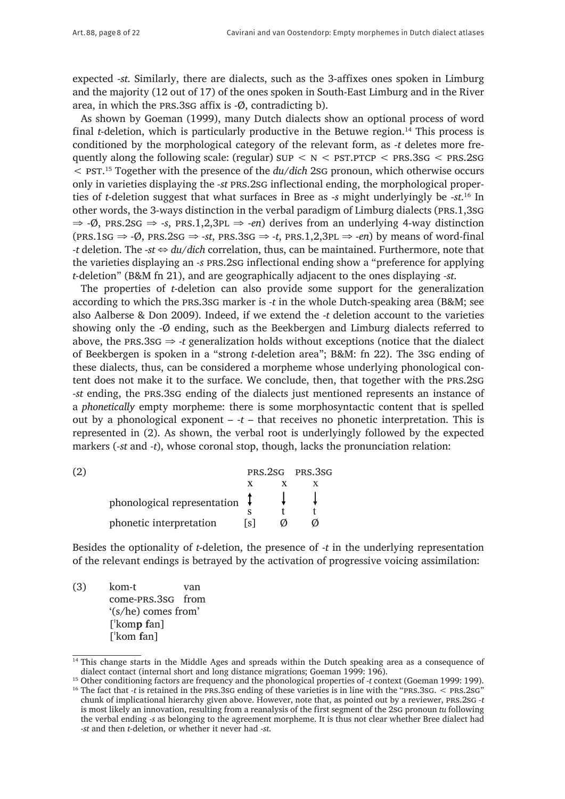expected -*st*. Similarly, there are dialects, such as the 3-affixes ones spoken in Limburg and the majority (12 out of 17) of the ones spoken in South-East Limburg and in the River area, in which the prs.3sg affix is -Ø, contradicting b).

As shown by Goeman (1999), many Dutch dialects show an optional process of word final *t*-deletion, which is particularly productive in the Betuwe region.<sup>14</sup> This process is conditioned by the morphological category of the relevant form, as -*t* deletes more frequently along the following scale: (regular)  $SUP \le N \le PST.PTCP \le PRS.3SG \le PRS.2SG$ < pst.15 Together with the presence of the *du*/*dich* 2sg pronoun, which otherwise occurs only in varieties displaying the *-st* prs.2sg inflectional ending, the morphological properties of *t*-deletion suggest that what surfaces in Bree as -*s* might underlyingly be -*st*. 16 In other words, the 3-ways distinction in the verbal paradigm of Limburg dialects (prs.1,3sg  $\Rightarrow$  -Ø, PRS.2sG  $\Rightarrow$  -s, PRS.1,2,3PL  $\Rightarrow$  -en) derives from an underlying 4-way distinction  $(\text{PRS}.1\text{SG} \Rightarrow \text{-Q}, \text{PRS}.2\text{SG} \Rightarrow \text{-st}, \text{PRS}.3\text{SG} \Rightarrow \text{-t}, \text{PRS}.1, 2, 3\text{PL} \Rightarrow \text{-en})$  by means of word-final *-t* deletion. The -*st* ⇔ *du*/*dich* correlation, thus, can be maintained. Furthermore, note that the varieties displaying an *-s* prs.2sg inflectional ending show a "preference for applying *t*-deletion" (B&M fn 21), and are geographically adjacent to the ones displaying *-st*.

The properties of *t*-deletion can also provide some support for the generalization according to which the prs.3sg marker is *-t* in the whole Dutch-speaking area (B&M; see also Aalberse & Don 2009). Indeed, if we extend the -*t* deletion account to the varieties showing only the -Ø ending, such as the Beekbergen and Limburg dialects referred to above, the prs.3sg ⇒ -*t* generalization holds without exceptions (notice that the dialect of Beekbergen is spoken in a "strong *t*-deletion area"; B&M: fn 22). The 3sg ending of these dialects, thus, can be considered a morpheme whose underlying phonological content does not make it to the surface. We conclude, then, that together with the prs.2sg *-st* ending, the prs.3sg ending of the dialects just mentioned represents an instance of a *phonetically* empty morpheme: there is some morphosyntactic content that is spelled out by a phonological exponent – *-t* – that receives no phonetic interpretation. This is represented in (2). As shown, the verbal root is underlyingly followed by the expected markers (*-st* and *-t*), whose coronal stop, though, lacks the pronunciation relation:

| (2) |                                          |       | PRS.2SG PRS.3SG |
|-----|------------------------------------------|-------|-----------------|
|     |                                          |       |                 |
|     | phonological representation $\downarrow$ |       |                 |
|     |                                          |       |                 |
|     | phonetic interpretation                  | l s l |                 |

Besides the optionality of *t*-deletion, the presence of -*t* in the underlying representation of the relevant endings is betrayed by the activation of progressive voicing assimilation:

(3) kom-t van come-prs.3sg from '(s/he) comes from' [ˈkom**p f**an] [ˈkom **f**an]

<sup>&</sup>lt;sup>14</sup> This change starts in the Middle Ages and spreads within the Dutch speaking area as a consequence of dialect contact (internal short and long distance migrations; Goeman 1999: 196).

<sup>15</sup> Other conditioning factors are frequency and the phonological properties of -*t* context (Goeman 1999: 199). <sup>16</sup> The fact that *-t* is retained in the PRS.3sG ending of these varieties is in line with the "PRS.3sG. < PRS.2sG" chunk of implicational hierarchy given above. However, note that, as pointed out by a reviewer, prs.2sg *-t* is most likely an innovation, resulting from a reanalysis of the first segment of the 2sg pronoun *tu* following the verbal ending *-s* as belonging to the agreement morpheme. It is thus not clear whether Bree dialect had -*st* and then *t*-deletion, or whether it never had -*st*.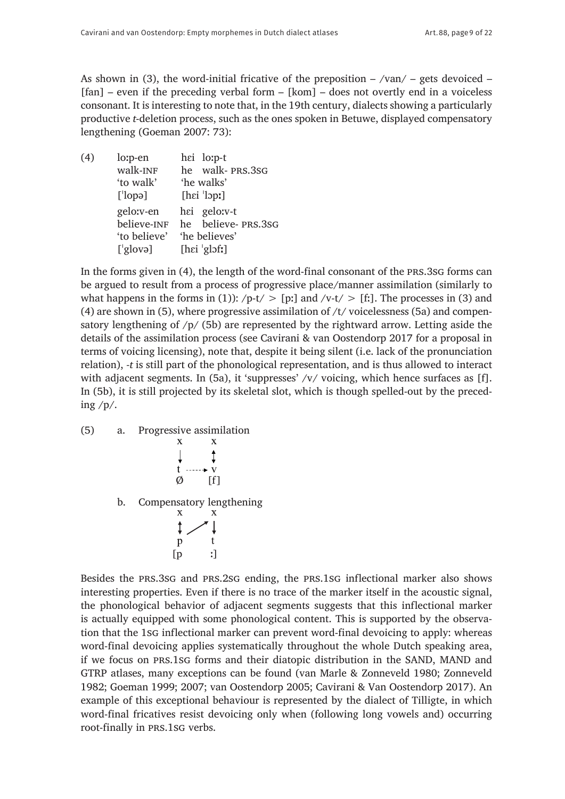As shown in (3), the word-initial fricative of the preposition  $-$  /van/  $-$  gets devoiced  $[fan] - even if the preceding verbal form - [kom] - does not overly end in a voiceless$ consonant. It is interesting to note that, in the 19th century, dialects showing a particularly productive *t*-deletion process, such as the ones spoken in Betuwe, displayed compensatory lengthening (Goeman 2007: 73):

| (4) | lo:p-en       | hei lo:p-t             |
|-----|---------------|------------------------|
|     | walk-INF      | he walk-PRS.3SG        |
|     | 'to walk'     | 'he walks'             |
|     | $[$ lopə]     | [hei']                 |
|     | gelo:v-en     | hei gelo:v-t           |
|     | believe-INF   | he believe-PRS.3SG     |
|     | 'to believe'  | 'he believes'          |
|     | $[$ glovə $]$ | $[hei \text{ 'gl5f}!]$ |
|     |               |                        |

In the forms given in (4), the length of the word-final consonant of the prs.3sg forms can be argued to result from a process of progressive place/manner assimilation (similarly to what happens in the forms in (1)):  $/p-t$  > [p:] and /v-t/ > [f:]. The processes in (3) and (4) are shown in (5), where progressive assimilation of  $/t$  voicelessness (5a) and compensatory lengthening of /p/ (5b) are represented by the rightward arrow. Letting aside the details of the assimilation process (see Cavirani & van Oostendorp 2017 for a proposal in terms of voicing licensing), note that, despite it being silent (i.e. lack of the pronunciation relation), *-t* is still part of the phonological representation, and is thus allowed to interact with adjacent segments. In (5a), it 'suppresses' /v/ voicing, which hence surfaces as [f]. In (5b), it is still projected by its skeletal slot, which is though spelled-out by the preceding /p/.

(5) a. Progressive assimilation  $\frac{x}{x}$  $\mathbf{X}$  $\downarrow$  $\ddagger$  $t \cdots \rightarrow v$  $\emptyset$  [f] b. Compensatory lengthening  $\mathbf X$   $\qquad \quad \mathbf X$  $\mathbf t$  $p \rightarrow$  $[p \quad i]$ 

Besides the prs.3sg and prs.2sg ending, the prs.1sg inflectional marker also shows interesting properties. Even if there is no trace of the marker itself in the acoustic signal, the phonological behavior of adjacent segments suggests that this inflectional marker is actually equipped with some phonological content. This is supported by the observation that the 1sg inflectional marker can prevent word-final devoicing to apply: whereas word-final devoicing applies systematically throughout the whole Dutch speaking area, if we focus on prs.1sg forms and their diatopic distribution in the SAND, MAND and GTRP atlases, many exceptions can be found (van Marle & Zonneveld 1980; Zonneveld 1982; Goeman 1999; 2007; van Oostendorp 2005; Cavirani & Van Oostendorp 2017). An example of this exceptional behaviour is represented by the dialect of Tilligte, in which word-final fricatives resist devoicing only when (following long vowels and) occurring root-finally in prs.1sg verbs.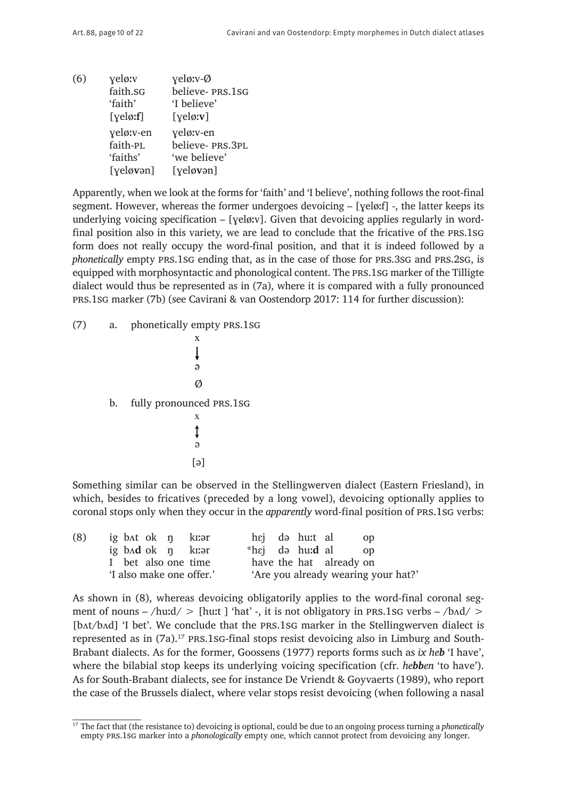(6)  $\gamma$ eløːv  $\gamma$ eløːv-Ø faith.sg believe- prs.1sg 'faith' 'I believe' [ɣeløː**f**] [ɣeløː**v**] veløːv-en veløːv-en faith-PL believe- PRS.3PL<br>
'faiths' 'we believe' 'we believe' [ɣelø**v**ən] [ɣelø**v**ən]

Apparently, when we look at the forms for 'faith' and 'I believe', nothing follows the root-final segment. However, whereas the former undergoes devoicing – [ɣeløːf] -, the latter keeps its underlying voicing specification  $-$  [yeløːv]. Given that devoicing applies regularly in wordfinal position also in this variety, we are lead to conclude that the fricative of the prs.1sg form does not really occupy the word-final position, and that it is indeed followed by a *phonetically* empty PRS.1sG ending that, as in the case of those for PRS.3sG and PRS.2sG, is equipped with morphosyntactic and phonological content. The prs.1sg marker of the Tilligte dialect would thus be represented as in (7a), where it is compared with a fully pronounced prs.1sg marker (7b) (see Cavirani & van Oostendorp 2017: 114 for further discussion):

(7) a. phonetically empty prs.1sg x  $\downarrow$ ə  $\emptyset$ b. fully pronounced prs.1sg x  $\ddagger$ ə [ə]

Something similar can be observed in the Stellingwerven dialect (Eastern Friesland), in which, besides to fricatives (preceded by a long vowel), devoicing optionally applies to coronal stops only when they occur in the *apparently* word-final position of prs.1sg verbs:

| (8) | ig bat ok n kuor         | hej də hu: al<br>- OD                      |
|-----|--------------------------|--------------------------------------------|
|     | ig bad ok $\eta$ kuər    | *h $\epsilon$ j də hu: <b>d</b> al<br>- OD |
|     | I bet also one time      | have the hat already on                    |
|     | 'I also make one offer.' | 'Are you already wearing your hat?'        |

As shown in (8), whereas devoicing obligatorily applies to the word-final coronal segment of nouns – /huːd/ > [huːt ] 'hat' -, it is not obligatory in PRS.1sG verbs – /b $\Delta$ d/ > [bʌt/bʌd] 'I bet'. We conclude that the prs.1sg marker in the Stellingwerven dialect is represented as in (7a).<sup>17</sup> PRS.1sG-final stops resist devoicing also in Limburg and South-Brabant dialects. As for the former, Goossens (1977) reports forms such as *ix heb* 'I have', where the bilabial stop keeps its underlying voicing specification (cfr. *hebben* 'to have'). As for South-Brabant dialects, see for instance De Vriendt & Goyvaerts (1989), who report the case of the Brussels dialect, where velar stops resist devoicing (when following a nasal

<sup>&</sup>lt;sup>17</sup> The fact that (the resistance to) devoicing is optional, could be due to an ongoing process turning a *phonetically* empty prs.1sg marker into a *phonologically* empty one, which cannot protect from devoicing any longer.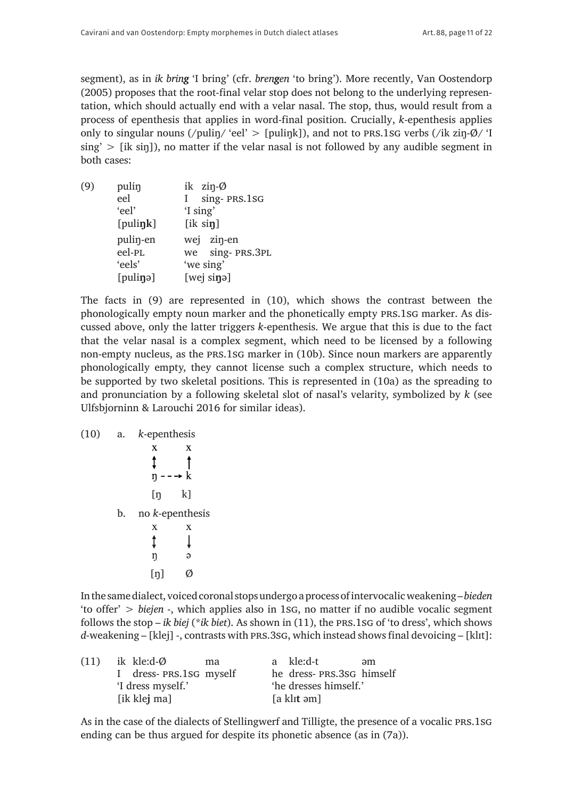segment), as in *ik bring* 'I bring' (cfr. *brengen* 'to bring'). More recently, Van Oostendorp (2005) proposes that the root-final velar stop does not belong to the underlying representation, which should actually end with a velar nasal. The stop, thus, would result from a process of epenthesis that applies in word-final position. Crucially, *k*-epenthesis applies only to singular nouns (/puliŋ/ 'eel' > [puliŋk]), and not to prs.1sg verbs (/ik ziŋ-Ø/ 'I  $sing' > [ik sin]$ , no matter if the velar nasal is not followed by any audible segment in both cases:

(9) puliŋ ik ziŋ-Ø eel I sing- prs.1sg 'eel' 'I sing' [puli**ŋk**] [ik si**ŋ**] puliŋ-en wej ziŋ-en eel-PL we sing- PRS.3PL<br>
'eels' 'we sing' 'we sing' [puli**ŋ**ə] [wej si**ŋ**ə]

The facts in (9) are represented in (10), which shows the contrast between the phonologically empty noun marker and the phonetically empty prs.1sg marker. As discussed above, only the latter triggers *k*-epenthesis. We argue that this is due to the fact that the velar nasal is a complex segment, which need to be licensed by a following non-empty nucleus, as the prs.1sg marker in (10b). Since noun markers are apparently phonologically empty, they cannot license such a complex structure, which needs to be supported by two skeletal positions. This is represented in (10a) as the spreading to and pronunciation by a following skeletal slot of nasal's velarity, symbolized by *k* (see Ulfsbjorninn & Larouchi 2016 for similar ideas).

| (10) | a. | k-epenthesis       |             |  |
|------|----|--------------------|-------------|--|
|      |    | $\mathbf X$        | X           |  |
|      |    | Î                  |             |  |
|      |    | $\eta$ --- $k$     |             |  |
|      |    | [ŋ                 | k]          |  |
|      | b. | no $k$ -epenthesis |             |  |
|      |    | $\mathbf X$        | $\mathbf X$ |  |
|      |    | Î                  |             |  |
|      |    | ŋ                  | ə           |  |
|      |    | $[\eta]$           |             |  |

In the same dialect, voiced coronal stops undergo a process of intervocalic weakening – *bieden* 'to offer' > *biejen* -, which applies also in 1sg, no matter if no audible vocalic segment follows the stop – *ik biej* (\**ik biet*). As shown in (11), the prs.1sg of 'to dress', which shows *d*-weakening – [klej] -, contrasts with prs.3sg, which instead showsfinal devoicing – [klɪt]:

| (11) | ik kle:d-Ø<br>ma       | a kle:d-t<br>əm          |
|------|------------------------|--------------------------|
|      | I dress-PRS.1SG myself | he dress-PRS.3sG himself |
|      | 'I dress myself.'      | 'he dresses himself.'    |
|      | [ik klej ma]           | [a klit əm]              |

As in the case of the dialects of Stellingwerf and Tilligte, the presence of a vocalic prs.1sg ending can be thus argued for despite its phonetic absence (as in (7a)).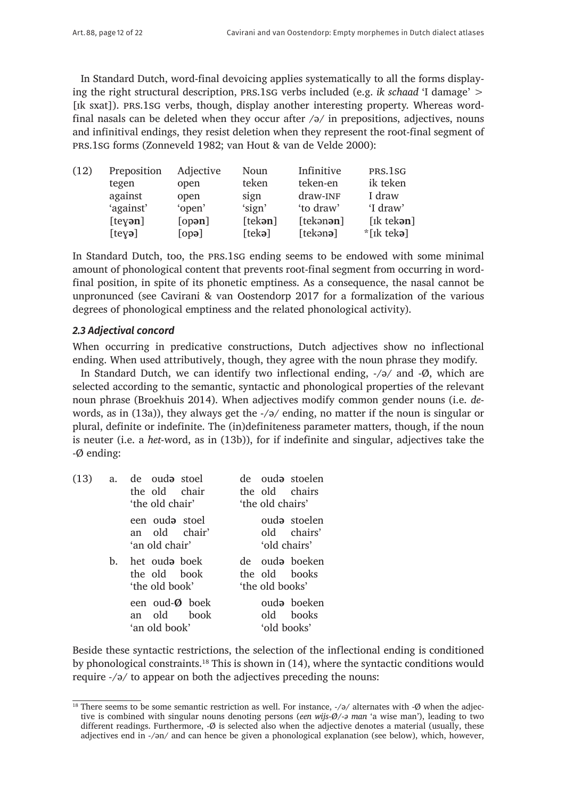In Standard Dutch, word-final devoicing applies systematically to all the forms displaying the right structural description, prs.1sg verbs included (e.g. *ik schaad* 'I damage' > [Ik sxat]). PRS.1SG verbs, though, display another interesting property. Whereas wordfinal nasals can be deleted when they occur after  $\sqrt{a}$  in prepositions, adjectives, nouns and infinitival endings, they resist deletion when they represent the root-final segment of prs.1sg forms (Zonneveld 1982; van Hout & van de Velde 2000):

| (12) | Preposition   | Adjective | Noun            | Infinitive        | PRS.1SG         |
|------|---------------|-----------|-----------------|-------------------|-----------------|
|      | tegen         | open      | teken           | teken-en          | ik teken        |
|      | against       | open      | sign            | draw-INF          | I draw          |
|      | 'against'     | 'open'    | 'sign'          | 'to draw'         | 'I draw'        |
|      | $[$ teyən $]$ | [open]    | [tekan]         | [tekənən]         | $[ik$ tekən $]$ |
|      | $[te$ və $]$  | [opa]     | [tek <b>ə</b> ] | [tekən <b>ə</b> ] | $*$ [ik tekə]   |

In Standard Dutch, too, the prs.1sg ending seems to be endowed with some minimal amount of phonological content that prevents root-final segment from occurring in wordfinal position, in spite of its phonetic emptiness. As a consequence, the nasal cannot be unpronunced (see Cavirani & van Oostendorp 2017 for a formalization of the various degrees of phonological emptiness and the related phonological activity).

#### *2.3 Adjectival concord*

When occurring in predicative constructions, Dutch adjectives show no inflectional ending. When used attributively, though, they agree with the noun phrase they modify.

In Standard Dutch, we can identify two inflectional ending, -/ə/ and -Ø, which are selected according to the semantic, syntactic and phonological properties of the relevant noun phrase (Broekhuis 2014). When adjectives modify common gender nouns (i.e. *de*words, as in (13a)), they always get the -/ə/ ending, no matter if the noun is singular or plural, definite or indefinite. The (in)definiteness parameter matters, though, if the noun is neuter (i.e. a *het*-word, as in (13b)), for if indefinite and singular, adjectives take the -Ø ending:

| (13) |    | a. de oud <b>a</b> stoel<br>the old chair<br>'the old chair' | de oud <del>a</del> stoelen<br>the old chairs<br>'the old chairs' |  |
|------|----|--------------------------------------------------------------|-------------------------------------------------------------------|--|
|      |    | een ouda stoel<br>an old chair'<br>'an old chair'            | ouda stoelen<br>old chairs'<br>'old chairs'                       |  |
|      | b. | het ouda boek<br>the old book<br>'the old book'              | de oud <del>o</del> boeken<br>the old books<br>'the old books'    |  |
|      |    | een oud-Ø boek<br>an old book<br>'an old book'               | ouda boeken<br>old books<br>'old books'                           |  |

Beside these syntactic restrictions, the selection of the inflectional ending is conditioned by phonological constraints.18 This is shown in (14), where the syntactic conditions would require *-*/ə/ to appear on both the adjectives preceding the nouns:

<sup>&</sup>lt;sup>18</sup> There seems to be some semantic restriction as well. For instance, -/ə/ alternates with -Ø when the adjective is combined with singular nouns denoting persons (*een wijs*-*Ø*/-*ə man* 'a wise man'), leading to two different readings. Furthermore, -Ø is selected also when the adjective denotes a material (usually, these adjectives end in -/ən/ and can hence be given a phonological explanation (see below), which, however,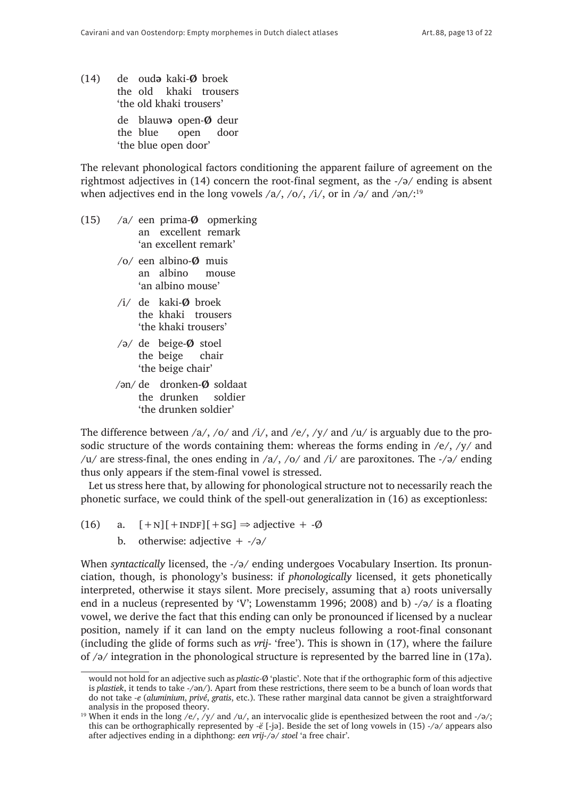(14) de oud**ə** kaki-**Ø** broek the old khaki trousers 'the old khaki trousers' de blauw**ə** open-**Ø** deur the blue open door 'the blue open door'

The relevant phonological factors conditioning the apparent failure of agreement on the rightmost adjectives in (14) concern the root-final segment, as the -/ə/ ending is absent when adjectives end in the long vowels  $\langle a/$ ,  $\langle 0/$ ,  $\langle i/$ , or in  $\langle a/$  and  $\langle a/$ .<sup>19</sup>

- (15) /a/ een prima-**Ø** opmerking an excellent remark 'an excellent remark'
	- /o/ een albino-**Ø** muis an albino mouse 'an albino mouse'
	- /i/ de kaki-**Ø** broek the khaki trousers 'the khaki trousers'
	- /ə/ de beige-**Ø** stoel the beige chair 'the beige chair'
	- /ən/ de dronken-**Ø** soldaat the drunken soldier 'the drunken soldier'

The difference between  $\frac{a}{\sqrt{c}}$  and  $\frac{b}{\sqrt{c}}$ , and  $\frac{e}{\sqrt{y}}$  and  $\frac{u}{v}$  is arguably due to the prosodic structure of the words containing them: whereas the forms ending in /e/, /y/ and /u/ are stress-final, the ones ending in /a/, /o/ and /i/ are paroxitones. The  $-\frac{1}{9}$  ending thus only appears if the stem-final vowel is stressed.

Let us stress here that, by allowing for phonological structure not to necessarily reach the phonetic surface, we could think of the spell-out generalization in (16) as exceptionless:

- (16) a.  $[+N][+INDF][+SG] \Rightarrow \text{adjective} + -\emptyset$ 
	- b. otherwise: adjective  $+$  -/ $\partial$ /

When *syntactically* licensed, the -/ə/ ending undergoes Vocabulary Insertion. Its pronunciation, though, is phonology's business: if *phonologically* licensed, it gets phonetically interpreted, otherwise it stays silent. More precisely, assuming that a) roots universally end in a nucleus (represented by 'V'; Lowenstamm 1996; 2008) and b) -/ə/ is a floating vowel, we derive the fact that this ending can only be pronounced if licensed by a nuclear position, namely if it can land on the empty nucleus following a root-final consonant (including the glide of forms such as *vrij*- 'free'). This is shown in (17), where the failure of /ə/ integration in the phonological structure is represented by the barred line in (17a).

would not hold for an adjective such as *plastic-*Ø 'plastic'. Note that if the orthographic form of this adjective is *plastiek*, it tends to take -/ən/). Apart from these restrictions, there seem to be a bunch of loan words that do not take *-e* (*aluminium*, *privé*, *gratis*, etc.). These rather marginal data cannot be given a straightforward analysis in the proposed theory.

<sup>&</sup>lt;sup>19</sup> When it ends in the long /e/, /y/ and /u/, an intervocalic glide is epenthesized between the root and -/ə/; this can be orthographically represented by *-ë* [-jə]. Beside the set of long vowels in (15) -/ə/ appears also after adjectives ending in a diphthong: *een vrij*-/ə/ *stoel* 'a free chair'.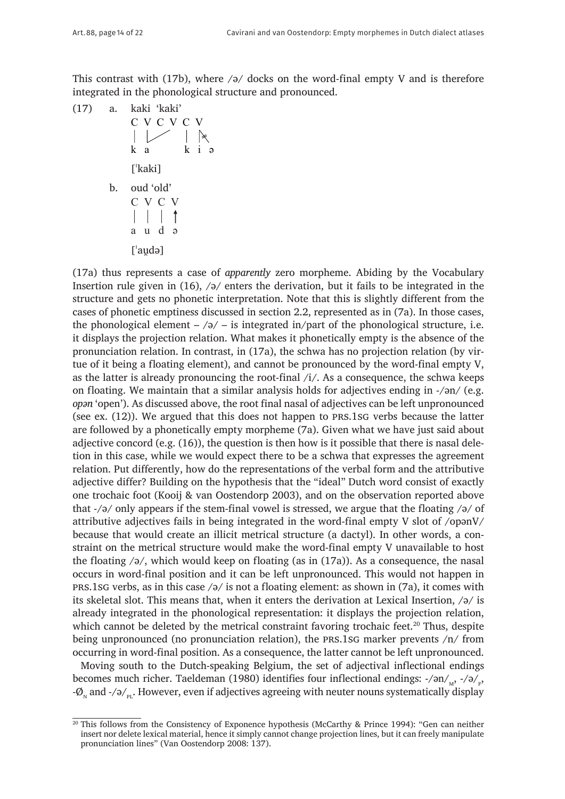This contrast with (17b), where  $\sqrt{9}$  docks on the word-final empty V and is therefore integrated in the phonological structure and pronounced.

(17) a. kaki 'kaki'  
\nC V C V C V  
\n| 
$$
\downarrow
$$
 |  $\uparrow$   $\uparrow$   $\uparrow$   $\uparrow$   $\uparrow$   $\uparrow$   $\uparrow$   $\uparrow$   $\uparrow$   $\uparrow$   $\uparrow$   $\uparrow$   $\uparrow$   $\uparrow$   $\uparrow$   $\uparrow$   $\uparrow$   $\uparrow$   $\uparrow$   $\uparrow$   $\uparrow$   $\uparrow$   $\uparrow$   $\uparrow$   $\uparrow$   $\uparrow$   $\uparrow$   $\uparrow$   $\uparrow$   $\uparrow$   $\uparrow$   $\uparrow$   $\uparrow$   $\uparrow$   $\uparrow$   $\uparrow$   $\uparrow$   $\uparrow$   $\uparrow$   $\uparrow$   $\uparrow$   $\uparrow$   $\uparrow$   $\uparrow$   $\uparrow$   $\uparrow$   $\uparrow$   $\uparrow$   $\uparrow$   $\uparrow$   $\uparrow$   $\uparrow$   $\uparrow$   $\uparrow$   $\uparrow$   $\uparrow$   $\uparrow$   $\uparrow$   $\uparrow$   $\uparrow$   $\uparrow$   $\uparrow$   $\uparrow$   $\uparrow$   $\uparrow$   $\uparrow$   $\uparrow$   $\uparrow$   $\uparrow$   $\uparrow$   $\uparrow$   $\uparrow$   $\uparrow$   $\uparrow$   $\uparrow$   $\uparrow$   $\uparrow$   $\uparrow$   $\uparrow$   $\uparrow$   $\uparrow$   $\uparrow$   $\uparrow$   $\uparrow$   $\uparrow$   $\uparrow$   $\uparrow$   $\uparrow$   $\uparrow$   $\uparrow$   $\uparrow$   $\$ 

(17a) thus represents a case of *apparently* zero morpheme. Abiding by the Vocabulary Insertion rule given in  $(16)$ ,  $/9/$  enters the derivation, but it fails to be integrated in the structure and gets no phonetic interpretation. Note that this is slightly different from the cases of phonetic emptiness discussed in section 2.2, represented as in (7a). In those cases, the phonological element  $-\sqrt{2}$  – is integrated in/part of the phonological structure, i.e. it displays the projection relation. What makes it phonetically empty is the absence of the pronunciation relation. In contrast, in (17a), the schwa has no projection relation (by virtue of it being a floating element), and cannot be pronounced by the word-final empty V, as the latter is already pronouncing the root-final  $/i/$ . As a consequence, the schwa keeps on floating. We maintain that a similar analysis holds for adjectives ending in -/ən/ (e.g. *opən* 'open'). As discussed above, the root final nasal of adjectives can be left unpronounced (see ex. (12)). We argued that this does not happen to prs.1sg verbs because the latter are followed by a phonetically empty morpheme (7a). Given what we have just said about adjective concord (e.g. (16)), the question is then how is it possible that there is nasal deletion in this case, while we would expect there to be a schwa that expresses the agreement relation. Put differently, how do the representations of the verbal form and the attributive adjective differ? Building on the hypothesis that the "ideal" Dutch word consist of exactly one trochaic foot (Kooij & van Oostendorp 2003), and on the observation reported above that -/ə/ only appears if the stem-final vowel is stressed, we argue that the floating /ə/ of attributive adjectives fails in being integrated in the word-final empty V slot of /opənV/ because that would create an illicit metrical structure (a dactyl). In other words, a constraint on the metrical structure would make the word-final empty V unavailable to host the floating  $\sqrt{a}$ , which would keep on floating (as in (17a)). As a consequence, the nasal occurs in word-final position and it can be left unpronounced. This would not happen in prs.1sg verbs, as in this case  $/9$  is not a floating element: as shown in (7a), it comes with its skeletal slot. This means that, when it enters the derivation at Lexical Insertion, /ə/ is already integrated in the phonological representation: it displays the projection relation, which cannot be deleted by the metrical constraint favoring trochaic feet.<sup>20</sup> Thus, despite being unpronounced (no pronunciation relation), the prs.1sg marker prevents /n/ from occurring in word-final position. As a consequence, the latter cannot be left unpronounced.

Moving south to the Dutch-speaking Belgium, the set of adjectival inflectional endings becomes much richer. Taeldeman (1980) identifies four inflectional endings: -/ən/<sub>м</sub>, -/ə/<sub>ғ</sub>,  $-\varnothing_{N}$  and  $-\sqrt{2}/p_{N}$ . However, even if adjectives agreeing with neuter nouns systematically display

<sup>&</sup>lt;sup>20</sup> This follows from the Consistency of Exponence hypothesis (McCarthy & Prince 1994): "Gen can neither insert nor delete lexical material, hence it simply cannot change projection lines, but it can freely manipulate pronunciation lines" (Van Oostendorp 2008: 137).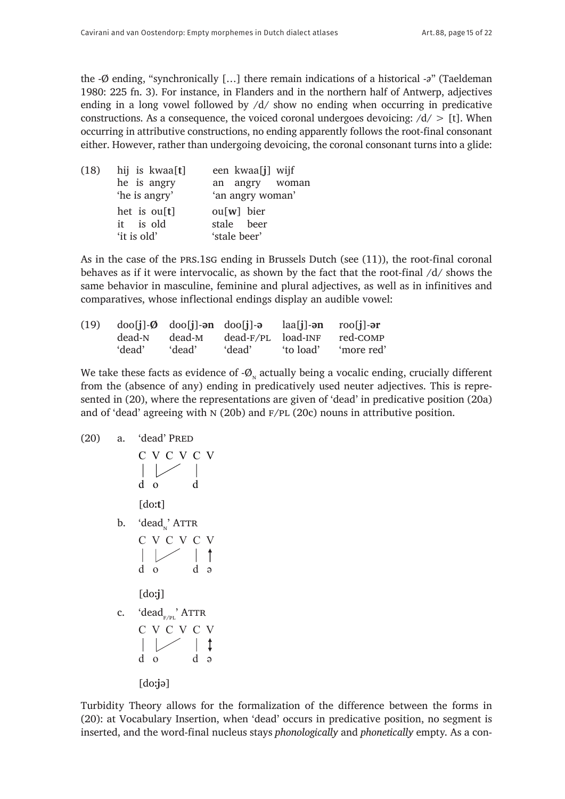the -Ø ending, "synchronically […] there remain indications of a historical -*ə*" (Taeldeman 1980: 225 fn. 3). For instance, in Flanders and in the northern half of Antwerp, adjectives ending in a long vowel followed by /d/ show no ending when occurring in predicative constructions. As a consequence, the voiced coronal undergoes devoicing:  $/d$  > [t]. When occurring in attributive constructions, no ending apparently follows the root-final consonant either. However, rather than undergoing devoicing, the coronal consonant turns into a glide:

| (18) | hij is kwaa[t] | een kwaa[j] wijf |  |  |
|------|----------------|------------------|--|--|
|      | he is angry    | an angry woman   |  |  |
|      | 'he is angry'  | 'an angry woman' |  |  |
|      | het is $ou[t]$ | $ou[w]$ bier     |  |  |
|      | it is old      | stale beer       |  |  |
|      | 'it is old'    | 'stale beer'     |  |  |

As in the case of the prs.1sg ending in Brussels Dutch (see (11)), the root-final coronal behaves as if it were intervocalic, as shown by the fact that the root-final /d/ shows the same behavior in masculine, feminine and plural adjectives, as well as in infinitives and comparatives, whose inflectional endings display an audible vowel:

| (19) |        | $\text{do[}j]\text{-}\emptyset$ $\text{do[}j]\text{-}\mathsf{an}$ $\text{do[}j]\text{-}\mathsf{a}$ |                    | $la[i]$ -ən roo $[i]$ -ər |            |
|------|--------|----------------------------------------------------------------------------------------------------|--------------------|---------------------------|------------|
|      | dead-N | dead-M                                                                                             | dead-F/PL load-INF |                           | red-COMP   |
|      | 'dead' | dead'                                                                                              | 'dead'             | 'to load'                 | 'more red' |

We take these facts as evidence of  $-\phi_{N}$  actually being a vocalic ending, crucially different from the (absence of any) ending in predicatively used neuter adjectives. This is represented in (20), where the representations are given of 'dead' in predicative position (20a) and of 'dead' agreeing with  $N(20b)$  and  $F/PL(20c)$  nouns in attributive position.

(20) a. 'dead' Pred

C V C V C V d o d [doː**t**] b. 'deadn' Attr C V C V C V d o d ə [doː**j**] c. 'deadf/pl' Attr C V C V C V d o d ə [doː**j**ə]

Turbidity Theory allows for the formalization of the difference between the forms in (20): at Vocabulary Insertion, when 'dead' occurs in predicative position, no segment is inserted, and the word-final nucleus stays *phonologically* and *phonetically* empty. As a con-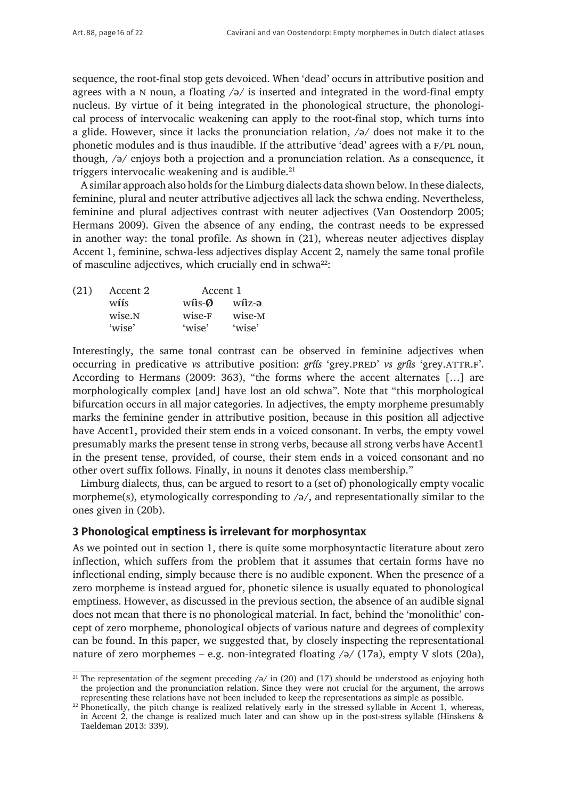sequence, the root-final stop gets devoiced. When 'dead' occurs in attributive position and agrees with a N noun, a floating  $\sqrt{2}$  is inserted and integrated in the word-final empty nucleus. By virtue of it being integrated in the phonological structure, the phonological process of intervocalic weakening can apply to the root-final stop, which turns into a glide. However, since it lacks the pronunciation relation, /ə/ does not make it to the phonetic modules and is thus inaudible. If the attributive 'dead' agrees with a F/PL noun, though, /ə/ enjoys both a projection and a pronunciation relation. As a consequence, it triggers intervocalic weakening and is audible. $21$ 

A similar approach also holds for the Limburg dialects data shown below. In these dialects, feminine, plural and neuter attributive adjectives all lack the schwa ending. Nevertheless, feminine and plural adjectives contrast with neuter adjectives (Van Oostendorp 2005; Hermans 2009). Given the absence of any ending, the contrast needs to be expressed in another way: the tonal profile. As shown in (21), whereas neuter adjectives display Accent 1, feminine, schwa-less adjectives display Accent 2, namely the same tonal profile of masculine adjectives, which crucially end in schwa<sup>22</sup>:

| (21) | Accent 2           | Accent 1                    |        |
|------|--------------------|-----------------------------|--------|
|      | w <b>íí</b> s      | $w$ <b>i</b> s- $\emptyset$ | wîiz-ə |
|      | wise. <sub>N</sub> | wise-F                      | wise-M |
|      | 'wise'             | 'wise'                      | 'wise' |

Interestingly, the same tonal contrast can be observed in feminine adjectives when occurring in predicative *vs* attributive position: *gríís* 'grey.pred' *vs gríìs* 'grey.attr.f'. According to Hermans (2009: 363), "the forms where the accent alternates […] are morphologically complex [and] have lost an old schwa". Note that "this morphological bifurcation occurs in all major categories. In adjectives, the empty morpheme presumably marks the feminine gender in attributive position, because in this position all adjective have Accent1, provided their stem ends in a voiced consonant. In verbs, the empty vowel presumably marks the present tense in strong verbs, because all strong verbs have Accent1 in the present tense, provided, of course, their stem ends in a voiced consonant and no other overt suffix follows. Finally, in nouns it denotes class membership."

Limburg dialects, thus, can be argued to resort to a (set of) phonologically empty vocalic morpheme(s), etymologically corresponding to /ə/, and representationally similar to the ones given in (20b).

## **3 Phonological emptiness is irrelevant for morphosyntax**

As we pointed out in section 1, there is quite some morphosyntactic literature about zero inflection, which suffers from the problem that it assumes that certain forms have no inflectional ending, simply because there is no audible exponent. When the presence of a zero morpheme is instead argued for, phonetic silence is usually equated to phonological emptiness. However, as discussed in the previous section, the absence of an audible signal does not mean that there is no phonological material. In fact, behind the 'monolithic' concept of zero morpheme, phonological objects of various nature and degrees of complexity can be found. In this paper, we suggested that, by closely inspecting the representational nature of zero morphemes – e.g. non-integrated floating  $\sqrt{2}$  (17a), empty V slots (20a),

<sup>&</sup>lt;sup>21</sup> The representation of the segment preceding  $/$  in (20) and (17) should be understood as enjoying both the projection and the pronunciation relation. Since they were not crucial for the argument, the arrows representing these relations have not been included to keep the representations as simple as possible.

<sup>&</sup>lt;sup>22</sup> Phonetically, the pitch change is realized relatively early in the stressed syllable in Accent 1, whereas, in Accent 2, the change is realized much later and can show up in the post-stress syllable (Hinskens & Taeldeman 2013: 339).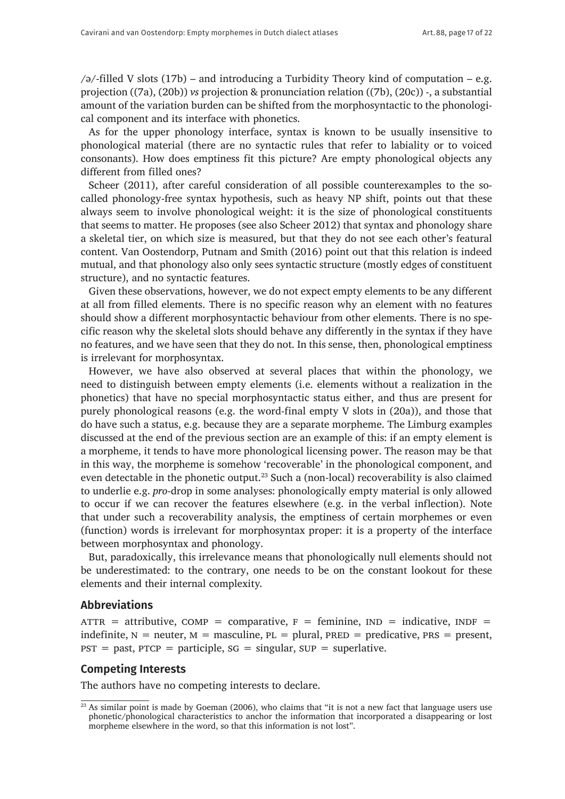$\sqrt{a^2-1}$  = 4.5 (17b) – and introducing a Turbidity Theory kind of computation – e.g. projection ((7a), (20b)) *vs* projection & pronunciation relation ((7b), (20c)) -, a substantial amount of the variation burden can be shifted from the morphosyntactic to the phonological component and its interface with phonetics.

As for the upper phonology interface, syntax is known to be usually insensitive to phonological material (there are no syntactic rules that refer to labiality or to voiced consonants). How does emptiness fit this picture? Are empty phonological objects any different from filled ones?

Scheer (2011), after careful consideration of all possible counterexamples to the socalled phonology-free syntax hypothesis, such as heavy NP shift, points out that these always seem to involve phonological weight: it is the size of phonological constituents that seems to matter. He proposes (see also Scheer 2012) that syntax and phonology share a skeletal tier, on which size is measured, but that they do not see each other's featural content. Van Oostendorp, Putnam and Smith (2016) point out that this relation is indeed mutual, and that phonology also only sees syntactic structure (mostly edges of constituent structure), and no syntactic features.

Given these observations, however, we do not expect empty elements to be any different at all from filled elements. There is no specific reason why an element with no features should show a different morphosyntactic behaviour from other elements. There is no specific reason why the skeletal slots should behave any differently in the syntax if they have no features, and we have seen that they do not. In this sense, then, phonological emptiness is irrelevant for morphosyntax.

However, we have also observed at several places that within the phonology, we need to distinguish between empty elements (i.e. elements without a realization in the phonetics) that have no special morphosyntactic status either, and thus are present for purely phonological reasons (e.g. the word-final empty V slots in (20a)), and those that do have such a status, e.g. because they are a separate morpheme. The Limburg examples discussed at the end of the previous section are an example of this: if an empty element is a morpheme, it tends to have more phonological licensing power. The reason may be that in this way, the morpheme is somehow 'recoverable' in the phonological component, and even detectable in the phonetic output.<sup>23</sup> Such a (non-local) recoverability is also claimed to underlie e.g. *pro*-drop in some analyses: phonologically empty material is only allowed to occur if we can recover the features elsewhere (e.g. in the verbal inflection). Note that under such a recoverability analysis, the emptiness of certain morphemes or even (function) words is irrelevant for morphosyntax proper: it is a property of the interface between morphosyntax and phonology.

But, paradoxically, this irrelevance means that phonologically null elements should not be underestimated: to the contrary, one needs to be on the constant lookout for these elements and their internal complexity.

#### **Abbreviations**

 $ATTR = attribute, COMP = comparative, F = familiar, IND = indicative, INDF =$ indefinite,  $N =$  neuter,  $M =$  masculine,  $PL =$  plural,  $PRED =$  predicative,  $PRS =$  present,  $pST = past$ ,  $pTCP = participate$ ,  $SG = singular$ ,  $SUP = superlative$ .

## **Competing Interests**

The authors have no competing interests to declare.

<sup>&</sup>lt;sup>23</sup> As similar point is made by Goeman (2006), who claims that "it is not a new fact that language users use phonetic/phonological characteristics to anchor the information that incorporated a disappearing or lost morpheme elsewhere in the word, so that this information is not lost".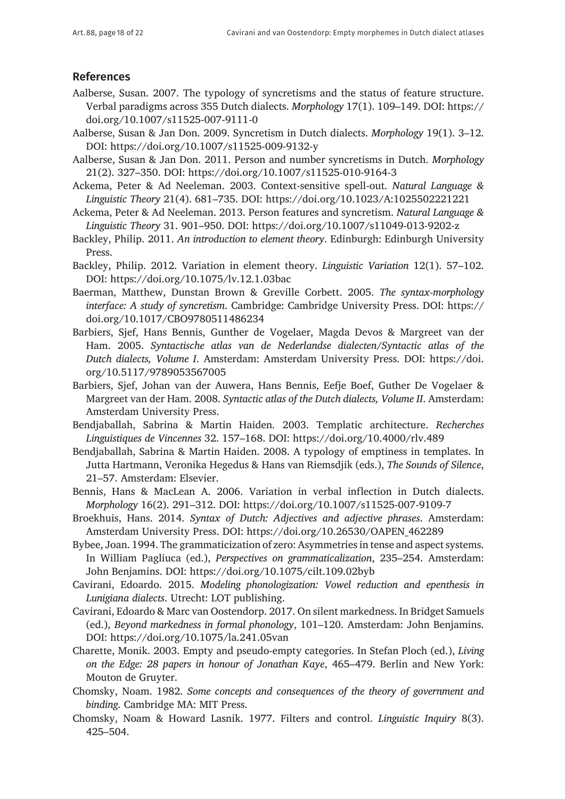## **References**

- Aalberse, Susan. 2007. The typology of syncretisms and the status of feature structure. Verbal paradigms across 355 Dutch dialects. *Morphology* 17(1). 109–149. DOI: [https://](https://doi.org/10.1007/s11525-007-9111-0) [doi.org/10.1007/s11525-007-9111-0](https://doi.org/10.1007/s11525-007-9111-0)
- Aalberse, Susan & Jan Don. 2009. Syncretism in Dutch dialects. *Morphology* 19(1). 3–12. DOI:<https://doi.org/10.1007/s11525-009-9132-y>
- Aalberse, Susan & Jan Don. 2011. Person and number syncretisms in Dutch. *Morphology*  21(2). 327–350. DOI:<https://doi.org/10.1007/s11525-010-9164-3>
- Ackema, Peter & Ad Neeleman. 2003. Context-sensitive spell-out. *Natural Language & Linguistic Theory* 21(4). 681–735. DOI:<https://doi.org/10.1023/A:1025502221221>
- Ackema, Peter & Ad Neeleman. 2013. Person features and syncretism. *Natural Language & Linguistic Theory* 31. 901–950. DOI: <https://doi.org/10.1007/s11049-013-9202-z>
- Backley, Philip. 2011. *An introduction to element theory*. Edinburgh: Edinburgh University Press.
- Backley, Philip. 2012. Variation in element theory. *Linguistic Variation* 12(1). 57–102. DOI:<https://doi.org/10.1075/lv.12.1.03bac>
- Baerman, Matthew, Dunstan Brown & Greville Corbett. 2005. *The syntax-morphology interface: A study of syncretism*. Cambridge: Cambridge University Press. DOI: [https://](https://doi.org/10.1017/CBO9780511486234) [doi.org/10.1017/CBO9780511486234](https://doi.org/10.1017/CBO9780511486234)
- Barbiers, Sjef, Hans Bennis, Gunther de Vogelaer, Magda Devos & Margreet van der Ham. 2005. *Syntactische atlas van de Nederlandse dialecten/Syntactic atlas of the Dutch dialects, Volume I*. Amsterdam: Amsterdam University Press. DOI: [https://doi.](https://doi.org/10.5117/9789053567005) [org/10.5117/9789053567005](https://doi.org/10.5117/9789053567005)
- Barbiers, Sjef, Johan van der Auwera, Hans Bennis, Eefje Boef, Guther De Vogelaer & Margreet van der Ham. 2008. *Syntactic atlas of the Dutch dialects, Volume II*. Amsterdam: Amsterdam University Press.
- Bendjaballah, Sabrina & Martin Haiden. 2003. Templatic architecture. *Recherches Linguistiques de Vincennes* 32. 157–168. DOI: <https://doi.org/10.4000/rlv.489>
- Bendjaballah, Sabrina & Martin Haiden. 2008. A typology of emptiness in templates. In Jutta Hartmann, Veronika Hegedus & Hans van Riemsdjik (eds.), *The Sounds of Silence*, 21–57. Amsterdam: Elsevier.
- Bennis, Hans & MacLean A. 2006. Variation in verbal inflection in Dutch dialects. *Morphology* 16(2). 291–312. DOI:<https://doi.org/10.1007/s11525-007-9109-7>
- Broekhuis, Hans. 2014. *Syntax of Dutch: Adjectives and adjective phrases*. Amsterdam: Amsterdam University Press. DOI: [https://doi.org/10.26530/OAPEN\\_462289](https://doi.org/10.26530/OAPEN_462289)
- Bybee, Joan. 1994. The grammaticization of zero: Asymmetriesin tense and aspect systems. In William Pagliuca (ed.), *Perspectives on grammaticalization*, 235–254. Amsterdam: John Benjamins. DOI:<https://doi.org/10.1075/cilt.109.02byb>
- Cavirani, Edoardo. 2015. *Modeling phonologization: Vowel reduction and epenthesis in Lunigiana dialects*. Utrecht: LOT publishing.
- Cavirani, Edoardo & Marc van Oostendorp. 2017. On silent markedness. In Bridget Samuels (ed.), *Beyond markedness in formal phonology*, 101–120. Amsterdam: John Benjamins. DOI:<https://doi.org/10.1075/la.241.05van>
- Charette, Monik. 2003. Empty and pseudo-empty categories. In Stefan Ploch (ed.), *Living on the Edge: 28 papers in honour of Jonathan Kaye*, 465–479. Berlin and New York: Mouton de Gruyter.
- Chomsky, Noam. 1982. *Some concepts and consequences of the theory of government and binding*. Cambridge MA: MIT Press.
- Chomsky, Noam & Howard Lasnik. 1977. Filters and control. *Linguistic Inquiry* 8(3). 425–504.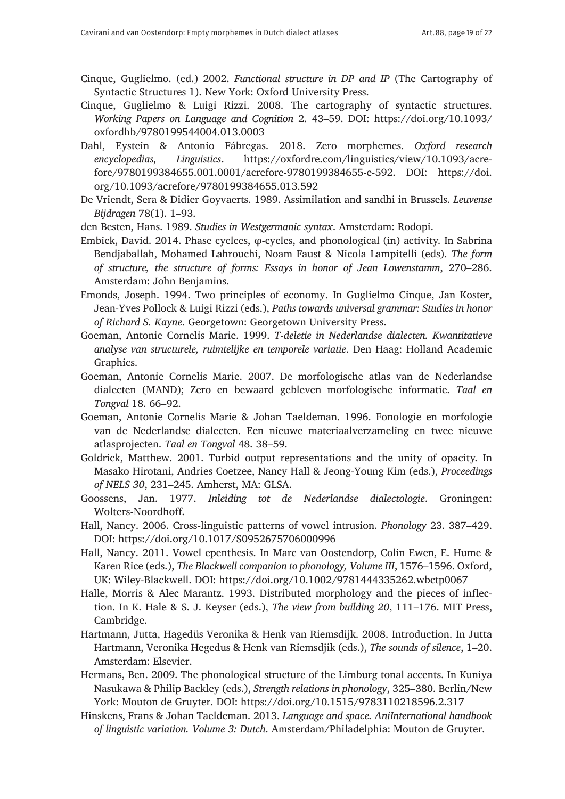- Cinque, Guglielmo. (ed.) 2002. *Functional structure in DP and IP* (The Cartography of Syntactic Structures 1). New York: Oxford University Press.
- Cinque, Guglielmo & Luigi Rizzi. 2008. The cartography of syntactic structures. *Working Papers on Language and Cognition* 2. 43–59. DOI: [https://doi.org/10.1093/](https://doi.org/10.1093/oxfordhb/9780199544004.013.0003) [oxfordhb/9780199544004.013.0003](https://doi.org/10.1093/oxfordhb/9780199544004.013.0003)
- Dahl, Eystein & Antonio Fábregas. 2018. Zero morphemes. *Oxford research encyclopedias, Linguistics*. [https://oxfordre.com/linguistics/view/10.1093/acre](https://oxfordre.com/linguistics/view/10.1093/acrefore/9780199384655.001.0001/acrefore-9780199384655-e-592)[fore/9780199384655.001.0001/acrefore-9780199384655-e-592.](https://oxfordre.com/linguistics/view/10.1093/acrefore/9780199384655.001.0001/acrefore-9780199384655-e-592) DOI: [https://doi.](https://doi.org/10.1093/acrefore/9780199384655.013.592) [org/10.1093/acrefore/9780199384655.013.592](https://doi.org/10.1093/acrefore/9780199384655.013.592)
- De Vriendt, Sera & Didier Goyvaerts. 1989. Assimilation and sandhi in Brussels. *Leuvense Bijdragen* 78(1). 1–93.

den Besten, Hans. 1989. *Studies in Westgermanic syntax*. Amsterdam: Rodopi.

- Embick, David. 2014. Phase cyclces, φ-cycles, and phonological (in) activity. In Sabrina Bendjaballah, Mohamed Lahrouchi, Noam Faust & Nicola Lampitelli (eds). *The form of structure, the structure of forms: Essays in honor of Jean Lowenstamm*, 270–286. Amsterdam: John Benjamins.
- Emonds, Joseph. 1994. Two principles of economy. In Guglielmo Cinque, Jan Koster, Jean-Yves Pollock & Luigi Rizzi (eds.), *Paths towards universal grammar: Studies in honor of Richard S. Kayne*. Georgetown: Georgetown University Press.
- Goeman, Antonie Cornelis Marie. 1999. *T-deletie in Nederlandse dialecten. Kwantitatieve analyse van structurele, ruimtelijke en temporele variatie*. Den Haag: Holland Academic Graphics.
- Goeman, Antonie Cornelis Marie. 2007. De morfologische atlas van de Nederlandse dialecten (MAND); Zero en bewaard gebleven morfologische informatie. *Taal en Tongval* 18. 66–92.
- Goeman, Antonie Cornelis Marie & Johan Taeldeman. 1996. Fonologie en morfologie van de Nederlandse dialecten. Een nieuwe materiaalverzameling en twee nieuwe atlasprojecten. *Taal en Tongval* 48. 38–59.
- Goldrick, Matthew. 2001. Turbid output representations and the unity of opacity. In Masako Hirotani, Andries Coetzee, Nancy Hall & Jeong-Young Kim (eds.), *Proceedings of NELS 30*, 231–245. Amherst, MA: GLSA.
- Goossens, Jan. 1977. *Inleiding tot de Nederlandse dialectologie*. Groningen: Wolters-Noordhoff.
- Hall, Nancy. 2006. Cross-linguistic patterns of vowel intrusion. *Phonology* 23. 387–429. DOI: <https://doi.org/10.1017/S0952675706000996>
- Hall, Nancy. 2011. Vowel epenthesis. In Marc van Oostendorp, Colin Ewen, E. Hume & Karen Rice (eds.), *The Blackwell companion to phonology, Volume III*, 1576–1596. Oxford, UK: Wiley-Blackwell. DOI: <https://doi.org/10.1002/9781444335262.wbctp0067>
- Halle, Morris & Alec Marantz. 1993. Distributed morphology and the pieces of inflection. In K. Hale & S. J. Keyser (eds.), *The view from building 20*, 111–176. MIT Press, Cambridge.
- Hartmann, Jutta, Hagedüs Veronika & Henk van Riemsdijk. 2008. Introduction. In Jutta Hartmann, Veronika Hegedus & Henk van Riemsdjik (eds.), *The sounds of silence*, 1–20. Amsterdam: Elsevier.
- Hermans, Ben. 2009. The phonological structure of the Limburg tonal accents. In Kuniya Nasukawa & Philip Backley (eds.), *Strength relations in phonology*, 325–380. Berlin/New York: Mouton de Gruyter. DOI: <https://doi.org/10.1515/9783110218596.2.317>
- Hinskens, Frans & Johan Taeldeman. 2013. *Language and space. AniInternational handbook of linguistic variation. Volume 3: Dutch*. Amsterdam/Philadelphia: Mouton de Gruyter.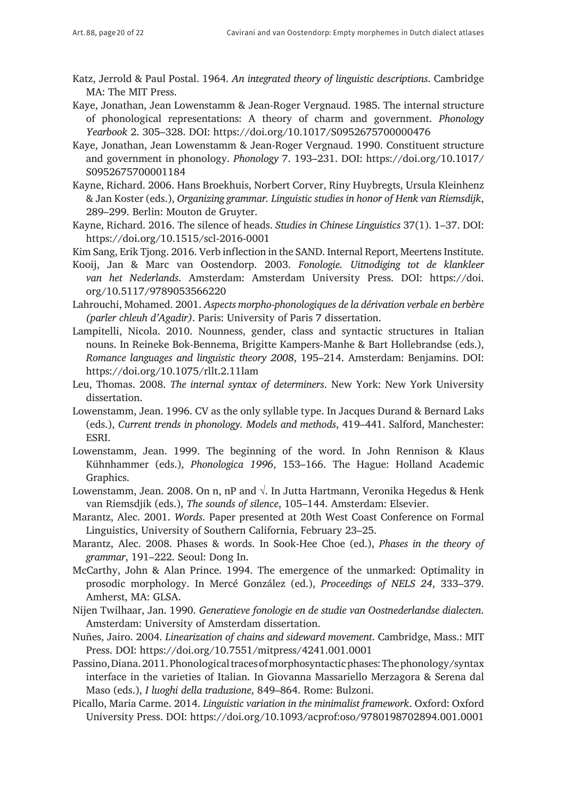- Katz, Jerrold & Paul Postal. 1964. *An integrated theory of linguistic descriptions*. Cambridge MA: The MIT Press.
- Kaye, Jonathan, Jean Lowenstamm & Jean-Roger Vergnaud. 1985. The internal structure of phonological representations: A theory of charm and government. *Phonology Yearbook* 2. 305–328. DOI: <https://doi.org/10.1017/S0952675700000476>
- Kaye, Jonathan, Jean Lowenstamm & Jean-Roger Vergnaud. 1990. Constituent structure and government in phonology. *Phonology* 7. 193–231. DOI: [https://doi.org/10.1017/](https://doi.org/10.1017/S0952675700001184) [S0952675700001184](https://doi.org/10.1017/S0952675700001184)
- Kayne, Richard. 2006. Hans Broekhuis, Norbert Corver, Riny Huybregts, Ursula Kleinhenz & Jan Koster (eds.), *Organizing grammar. Linguistic studies in honor of Henk van Riemsdijk*, 289–299. Berlin: Mouton de Gruyter.
- Kayne, Richard. 2016. The silence of heads. *Studies in Chinese Linguistics* 37(1). 1–37. DOI: <https://doi.org/10.1515/scl-2016-0001>
- Kim Sang, Erik Tjong. 2016. Verb inflection in the SAND. Internal Report, Meertens Institute.
- Kooij, Jan & Marc van Oostendorp. 2003. *Fonologie. Uitnodiging tot de klankleer van het Nederlands*. Amsterdam: Amsterdam University Press. DOI: [https://doi.](https://doi.org/10.5117/9789053566220) [org/10.5117/9789053566220](https://doi.org/10.5117/9789053566220)
- Lahrouchi, Mohamed. 2001. *Aspects morpho-phonologiques de la dérivation verbale en berbère (parler chleuh d'Agadir)*. Paris: University of Paris 7 dissertation.
- Lampitelli, Nicola. 2010. Nounness, gender, class and syntactic structures in Italian nouns. In Reineke Bok-Bennema, Brigitte Kampers-Manhe & Bart Hollebrandse (eds.), *Romance languages and linguistic theory 2008*, 195–214. Amsterdam: Benjamins. DOI: <https://doi.org/10.1075/rllt.2.11lam>
- Leu, Thomas. 2008. *The internal syntax of determiners*. New York: New York University dissertation.
- Lowenstamm, Jean. 1996. CV as the only syllable type. In Jacques Durand & Bernard Laks (eds.), *Current trends in phonology. Models and methods*, 419–441. Salford, Manchester: ESRI.
- Lowenstamm, Jean. 1999. The beginning of the word. In John Rennison & Klaus Kühnhammer (eds.), *Phonologica 1996*, 153–166. The Hague: Holland Academic Graphics.
- Lowenstamm, Jean. 2008. On n, nP and  $\sqrt{ }$ . In Jutta Hartmann, Veronika Hegedus & Henk van Riemsdjik (eds.), *The sounds of silence*, 105–144. Amsterdam: Elsevier.
- Marantz, Alec. 2001. *Words*. Paper presented at 20th West Coast Conference on Formal Linguistics, University of Southern California, February 23–25.
- Marantz, Alec. 2008. Phases & words. In Sook-Hee Choe (ed.), *Phases in the theory of grammar*, 191–222. Seoul: Dong In.
- McCarthy, John & Alan Prince. 1994. The emergence of the unmarked: Optimality in prosodic morphology. In Mercé González (ed.), *Proceedings of NELS 24*, 333–379. Amherst, MA: GLSA.
- Nijen Twilhaar, Jan. 1990. *Generatieve fonologie en de studie van Oostnederlandse dialecten*. Amsterdam: University of Amsterdam dissertation.
- Nuñes, Jairo. 2004. *Linearization of chains and sideward movement*. Cambridge, Mass.: MIT Press. DOI:<https://doi.org/10.7551/mitpress/4241.001.0001>
- Passino, Diana. 2011. Phonological traces of morphosyntactic phases: The phonology/syntax interface in the varieties of Italian. In Giovanna Massariello Merzagora & Serena dal Maso (eds.), *I luoghi della traduzione*, 849–864. Rome: Bulzoni.
- Picallo, Maria Carme. 2014. *Linguistic variation in the minimalist framework*. Oxford: Oxford University Press. DOI:<https://doi.org/10.1093/acprof:oso/9780198702894.001.0001>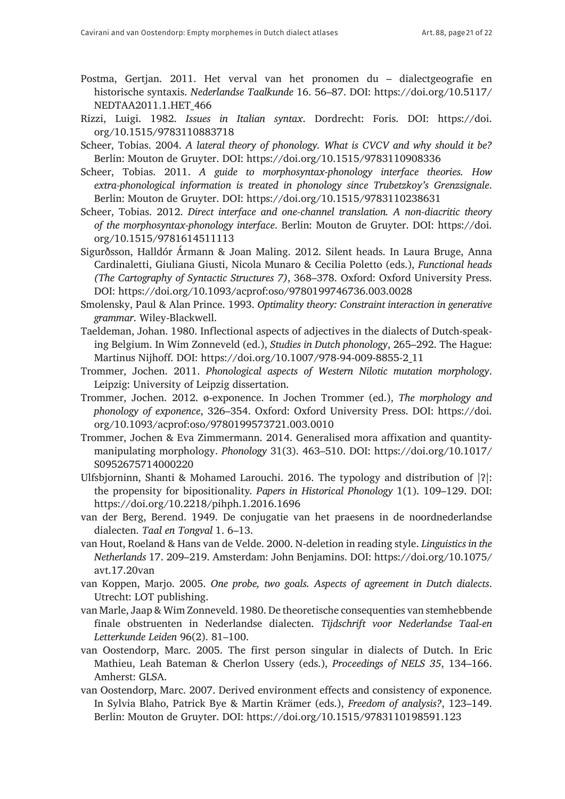- Postma, Gertjan. 2011. Het verval van het pronomen du dialectgeografie en historische syntaxis. *Nederlandse Taalkunde* 16. 56–87. DOI: [https://doi.org/10.5117/](https://doi.org/10.5117/NEDTAA2011.1.HET_466) [NEDTAA2011.1.HET\\_466](https://doi.org/10.5117/NEDTAA2011.1.HET_466)
- Rizzi, Luigi. 1982. *Issues in Italian syntax*. Dordrecht: Foris. DOI: [https://doi.](https://doi.org/10.1515/9783110883718) [org/10.1515/9783110883718](https://doi.org/10.1515/9783110883718)
- Scheer, Tobias. 2004. *A lateral theory of phonology. What is CVCV and why should it be?* Berlin: Mouton de Gruyter. DOI: <https://doi.org/10.1515/9783110908336>
- Scheer, Tobias. 2011. *A guide to morphosyntax-phonology interface theories. How extra-phonological information is treated in phonology since Trubetzkoy's Grenzsignale*. Berlin: Mouton de Gruyter. DOI: <https://doi.org/10.1515/9783110238631>
- Scheer, Tobias. 2012. *Direct interface and one-channel translation. A non-diacritic theory of the morphosyntax-phonology interface*. Berlin: Mouton de Gruyter. DOI: [https://doi.](https://doi.org/10.1515/9781614511113) [org/10.1515/9781614511113](https://doi.org/10.1515/9781614511113)
- Sigurðsson, Halldór Ármann & Joan Maling. 2012. Silent heads. In Laura Bruge, Anna Cardinaletti, Giuliana Giusti, Nicola Munaro & Cecilia Poletto (eds.), *Functional heads (The Cartography of Syntactic Structures 7)*, 368–378. Oxford: Oxford University Press. DOI: <https://doi.org/10.1093/acprof:oso/9780199746736.003.0028>
- Smolensky, Paul & Alan Prince. 1993. *Optimality theory: Constraint interaction in generative grammar*. Wiley-Blackwell.
- Taeldeman, Johan. 1980. Inflectional aspects of adjectives in the dialects of Dutch-speaking Belgium. In Wim Zonneveld (ed.), *Studies in Dutch phonology*, 265–292. The Hague: Martinus Nijhoff. DOI: [https://doi.org/10.1007/978-94-009-8855-2\\_11](https://doi.org/10.1007/978-94-009-8855-2_11)
- Trommer, Jochen. 2011. *Phonological aspects of Western Nilotic mutation morphology*. Leipzig: University of Leipzig dissertation.
- Trommer, Jochen. 2012. ø-exponence. In Jochen Trommer (ed.), *The morphology and phonology of exponence*, 326–354. Oxford: Oxford University Press. DOI: [https://doi.](https://doi.org/10.1093/acprof:oso/9780199573721.003.0010) [org/10.1093/acprof:oso/9780199573721.003.0010](https://doi.org/10.1093/acprof:oso/9780199573721.003.0010)
- Trommer, Jochen & Eva Zimmermann. 2014. Generalised mora affixation and quantitymanipulating morphology. *Phonology* 31(3). 463–510. DOI: [https://doi.org/10.1017/](https://doi.org/10.1017/S0952675714000220) [S0952675714000220](https://doi.org/10.1017/S0952675714000220)
- Ulfsbjorninn, Shanti & Mohamed Larouchi. 2016. The typology and distribution of |?|: the propensity for bipositionality. *Papers in Historical Phonology* 1(1). 109–129. DOI: <https://doi.org/10.2218/pihph.1.2016.1696>
- van der Berg, Berend. 1949. De conjugatie van het praesens in de noordnederlandse dialecten. *Taal en Tongval* 1. 6–13.
- van Hout, Roeland & Hans van de Velde. 2000. N-deletion in reading style. *Linguistics in the Netherlands* 17. 209–219. Amsterdam: John Benjamins. DOI: [https://doi.org/10.1075/](https://doi.org/10.1075/avt.17.20van) [avt.17.20van](https://doi.org/10.1075/avt.17.20van)
- van Koppen, Marjo. 2005. *One probe, two goals. Aspects of agreement in Dutch dialects*. Utrecht: LOT publishing.
- van Marle, Jaap & Wim Zonneveld. 1980. De theoretische consequenties van stemhebbende finale obstruenten in Nederlandse dialecten. *Tijdschrift voor Nederlandse Taal-en Letterkunde Leiden* 96(2). 81–100.
- van Oostendorp, Marc. 2005. The first person singular in dialects of Dutch. In Eric Mathieu, Leah Bateman & Cherlon Ussery (eds.), *Proceedings of NELS 35*, 134–166. Amherst: GLSA.
- van Oostendorp, Marc. 2007. Derived environment effects and consistency of exponence. In Sylvia Blaho, Patrick Bye & Martin Krämer (eds.), *Freedom of analysis?*, 123–149. Berlin: Mouton de Gruyter. DOI: <https://doi.org/10.1515/9783110198591.123>